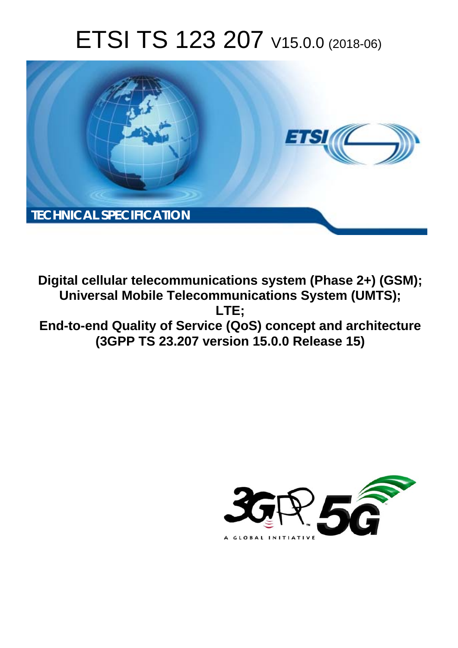# ETSI TS 123 207 V15.0.0 (2018-06)



**Digital cellular telecommunications system (Phase 2+) (GSM); Universal Mobile Telecommunications System (UMTS); LTE; End-to-end Quality of Service (QoS) concept and architecture (3GPP TS 23.207 version 15.0.0 Release 15)** 

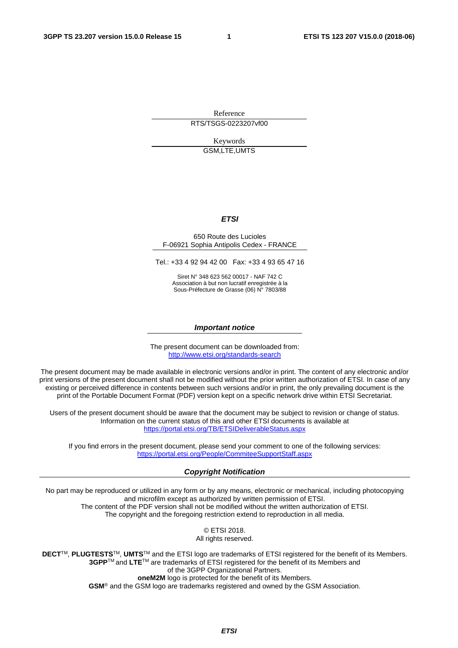Reference

RTS/TSGS-0223207vf00

Keywords GSM,LTE,UMTS

#### *ETSI*

#### 650 Route des Lucioles F-06921 Sophia Antipolis Cedex - FRANCE

Tel.: +33 4 92 94 42 00 Fax: +33 4 93 65 47 16

Siret N° 348 623 562 00017 - NAF 742 C Association à but non lucratif enregistrée à la Sous-Préfecture de Grasse (06) N° 7803/88

#### *Important notice*

The present document can be downloaded from: <http://www.etsi.org/standards-search>

The present document may be made available in electronic versions and/or in print. The content of any electronic and/or print versions of the present document shall not be modified without the prior written authorization of ETSI. In case of any existing or perceived difference in contents between such versions and/or in print, the only prevailing document is the print of the Portable Document Format (PDF) version kept on a specific network drive within ETSI Secretariat.

Users of the present document should be aware that the document may be subject to revision or change of status. Information on the current status of this and other ETSI documents is available at <https://portal.etsi.org/TB/ETSIDeliverableStatus.aspx>

If you find errors in the present document, please send your comment to one of the following services: <https://portal.etsi.org/People/CommiteeSupportStaff.aspx>

#### *Copyright Notification*

No part may be reproduced or utilized in any form or by any means, electronic or mechanical, including photocopying and microfilm except as authorized by written permission of ETSI. The content of the PDF version shall not be modified without the written authorization of ETSI. The copyright and the foregoing restriction extend to reproduction in all media.

> © ETSI 2018. All rights reserved.

**DECT**TM, **PLUGTESTS**TM, **UMTS**TM and the ETSI logo are trademarks of ETSI registered for the benefit of its Members. **3GPP**TM and **LTE**TM are trademarks of ETSI registered for the benefit of its Members and of the 3GPP Organizational Partners. **oneM2M** logo is protected for the benefit of its Members.

**GSM**® and the GSM logo are trademarks registered and owned by the GSM Association.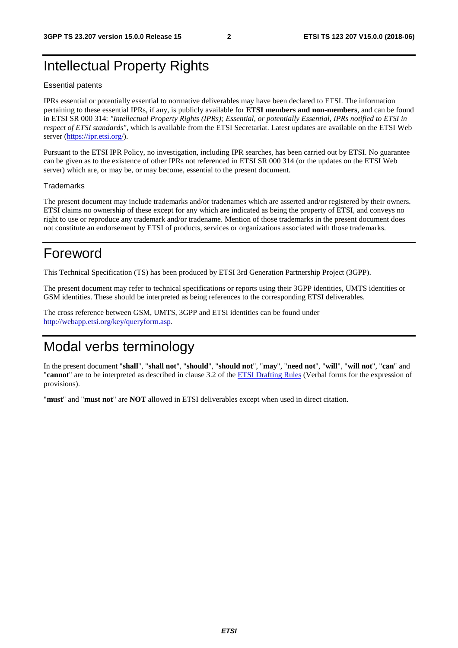# Intellectual Property Rights

#### Essential patents

IPRs essential or potentially essential to normative deliverables may have been declared to ETSI. The information pertaining to these essential IPRs, if any, is publicly available for **ETSI members and non-members**, and can be found in ETSI SR 000 314: *"Intellectual Property Rights (IPRs); Essential, or potentially Essential, IPRs notified to ETSI in respect of ETSI standards"*, which is available from the ETSI Secretariat. Latest updates are available on the ETSI Web server ([https://ipr.etsi.org/\)](https://ipr.etsi.org/).

Pursuant to the ETSI IPR Policy, no investigation, including IPR searches, has been carried out by ETSI. No guarantee can be given as to the existence of other IPRs not referenced in ETSI SR 000 314 (or the updates on the ETSI Web server) which are, or may be, or may become, essential to the present document.

#### **Trademarks**

The present document may include trademarks and/or tradenames which are asserted and/or registered by their owners. ETSI claims no ownership of these except for any which are indicated as being the property of ETSI, and conveys no right to use or reproduce any trademark and/or tradename. Mention of those trademarks in the present document does not constitute an endorsement by ETSI of products, services or organizations associated with those trademarks.

# Foreword

This Technical Specification (TS) has been produced by ETSI 3rd Generation Partnership Project (3GPP).

The present document may refer to technical specifications or reports using their 3GPP identities, UMTS identities or GSM identities. These should be interpreted as being references to the corresponding ETSI deliverables.

The cross reference between GSM, UMTS, 3GPP and ETSI identities can be found under [http://webapp.etsi.org/key/queryform.asp.](http://webapp.etsi.org/key/queryform.asp)

# Modal verbs terminology

In the present document "**shall**", "**shall not**", "**should**", "**should not**", "**may**", "**need not**", "**will**", "**will not**", "**can**" and "**cannot**" are to be interpreted as described in clause 3.2 of the [ETSI Drafting Rules](https://portal.etsi.org/Services/editHelp!/Howtostart/ETSIDraftingRules.aspx) (Verbal forms for the expression of provisions).

"**must**" and "**must not**" are **NOT** allowed in ETSI deliverables except when used in direct citation.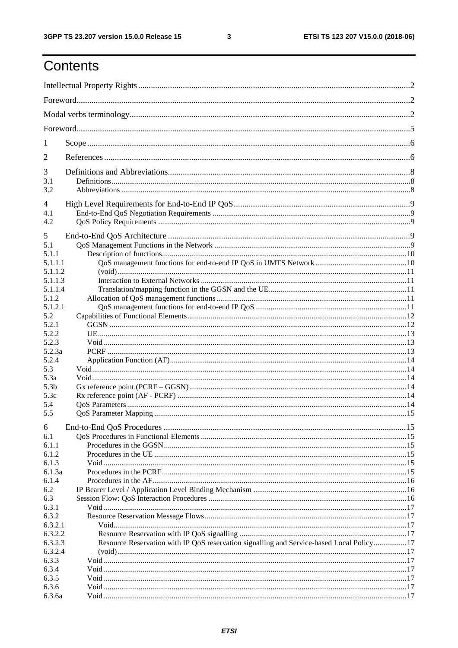# Contents

| 1                |                                                                                          |  |  |  |  |  |  |
|------------------|------------------------------------------------------------------------------------------|--|--|--|--|--|--|
| 2                |                                                                                          |  |  |  |  |  |  |
| 3                |                                                                                          |  |  |  |  |  |  |
| 3.1              |                                                                                          |  |  |  |  |  |  |
| 3.2              |                                                                                          |  |  |  |  |  |  |
| $\overline{4}$   |                                                                                          |  |  |  |  |  |  |
| 4.1              |                                                                                          |  |  |  |  |  |  |
| 4.2              |                                                                                          |  |  |  |  |  |  |
| 5                |                                                                                          |  |  |  |  |  |  |
| 5.1              |                                                                                          |  |  |  |  |  |  |
| 5.1.1            |                                                                                          |  |  |  |  |  |  |
| 5.1.1.1          |                                                                                          |  |  |  |  |  |  |
| 5.1.1.2          |                                                                                          |  |  |  |  |  |  |
| 5.1.1.3          |                                                                                          |  |  |  |  |  |  |
| 5.1.1.4          |                                                                                          |  |  |  |  |  |  |
| 5.1.2            |                                                                                          |  |  |  |  |  |  |
| 5.1.2.1          |                                                                                          |  |  |  |  |  |  |
| 5.2              |                                                                                          |  |  |  |  |  |  |
| 5.2.1            |                                                                                          |  |  |  |  |  |  |
| 5.2.2            |                                                                                          |  |  |  |  |  |  |
| 5.2.3            |                                                                                          |  |  |  |  |  |  |
| 5.2.3a           |                                                                                          |  |  |  |  |  |  |
| 5.2.4<br>5.3     |                                                                                          |  |  |  |  |  |  |
| 5.3a             |                                                                                          |  |  |  |  |  |  |
| 5.3b             |                                                                                          |  |  |  |  |  |  |
| 5.3c             |                                                                                          |  |  |  |  |  |  |
| 5.4              |                                                                                          |  |  |  |  |  |  |
| 5.5              |                                                                                          |  |  |  |  |  |  |
| 6                |                                                                                          |  |  |  |  |  |  |
| 6.1              |                                                                                          |  |  |  |  |  |  |
| 6.1.1            |                                                                                          |  |  |  |  |  |  |
| 6.1.2            |                                                                                          |  |  |  |  |  |  |
| 6.1.3            |                                                                                          |  |  |  |  |  |  |
| 6.1.3a           |                                                                                          |  |  |  |  |  |  |
| 6.1.4            |                                                                                          |  |  |  |  |  |  |
| 6.2              |                                                                                          |  |  |  |  |  |  |
| 6.3              |                                                                                          |  |  |  |  |  |  |
| 6.3.1            |                                                                                          |  |  |  |  |  |  |
| 6.3.2            |                                                                                          |  |  |  |  |  |  |
| 6.3.2.1          |                                                                                          |  |  |  |  |  |  |
| 6.3.2.2          |                                                                                          |  |  |  |  |  |  |
| 6.3.2.3          | Resource Reservation with IP QoS reservation signalling and Service-based Local Policy17 |  |  |  |  |  |  |
| 6.3.2.4<br>6.3.3 |                                                                                          |  |  |  |  |  |  |
| 6.3.4            |                                                                                          |  |  |  |  |  |  |
| 6.3.5            |                                                                                          |  |  |  |  |  |  |
| 6.3.6            |                                                                                          |  |  |  |  |  |  |
| 6.3.6a           |                                                                                          |  |  |  |  |  |  |
|                  |                                                                                          |  |  |  |  |  |  |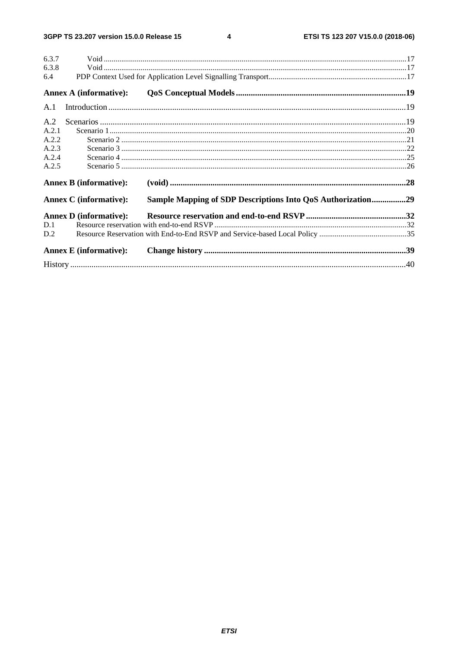$\overline{\mathbf{4}}$ 

| 6.3.8<br>6.4<br>Annex A (informative):<br>A.1<br>A.2<br>A.2.1<br>A.2.2<br>A.2.3<br>A.2.4<br>A.2.5<br><b>Annex B</b> (informative):<br>Sample Mapping of SDP Descriptions Into QoS Authorization29<br><b>Annex C</b> (informative):<br><b>Annex D</b> (informative):<br>D.1<br>D.2<br><b>Annex E</b> (informative): | 6.3.7 |  |  |
|--------------------------------------------------------------------------------------------------------------------------------------------------------------------------------------------------------------------------------------------------------------------------------------------------------------------|-------|--|--|
|                                                                                                                                                                                                                                                                                                                    |       |  |  |
|                                                                                                                                                                                                                                                                                                                    |       |  |  |
|                                                                                                                                                                                                                                                                                                                    |       |  |  |
|                                                                                                                                                                                                                                                                                                                    |       |  |  |
|                                                                                                                                                                                                                                                                                                                    |       |  |  |
|                                                                                                                                                                                                                                                                                                                    |       |  |  |
|                                                                                                                                                                                                                                                                                                                    |       |  |  |
|                                                                                                                                                                                                                                                                                                                    |       |  |  |
|                                                                                                                                                                                                                                                                                                                    |       |  |  |
|                                                                                                                                                                                                                                                                                                                    |       |  |  |
|                                                                                                                                                                                                                                                                                                                    |       |  |  |
|                                                                                                                                                                                                                                                                                                                    |       |  |  |
|                                                                                                                                                                                                                                                                                                                    |       |  |  |
|                                                                                                                                                                                                                                                                                                                    |       |  |  |
|                                                                                                                                                                                                                                                                                                                    |       |  |  |
|                                                                                                                                                                                                                                                                                                                    |       |  |  |
|                                                                                                                                                                                                                                                                                                                    |       |  |  |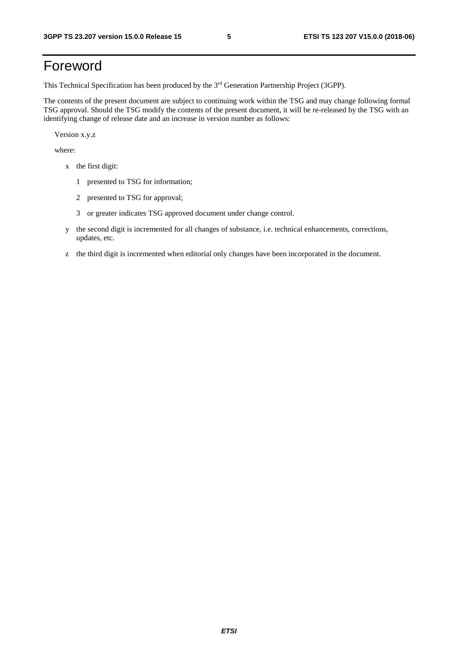# Foreword

This Technical Specification has been produced by the 3rd Generation Partnership Project (3GPP).

The contents of the present document are subject to continuing work within the TSG and may change following formal TSG approval. Should the TSG modify the contents of the present document, it will be re-released by the TSG with an identifying change of release date and an increase in version number as follows:

Version x.y.z

where:

- x the first digit:
	- 1 presented to TSG for information;
	- 2 presented to TSG for approval;
	- 3 or greater indicates TSG approved document under change control.
- y the second digit is incremented for all changes of substance, i.e. technical enhancements, corrections, updates, etc.
- z the third digit is incremented when editorial only changes have been incorporated in the document.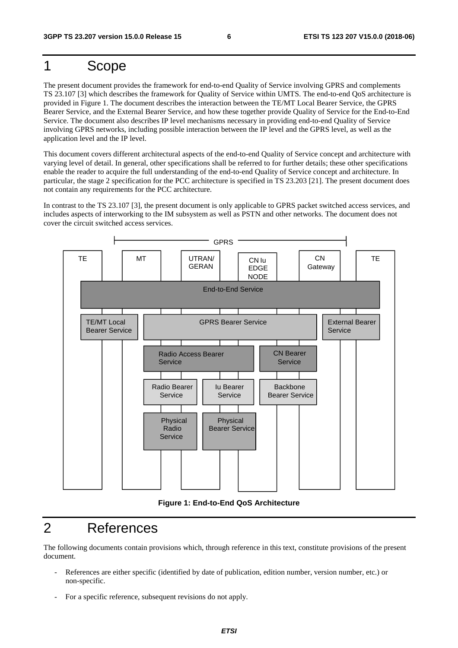# 1 Scope

The present document provides the framework for end-to-end Quality of Service involving GPRS and complements TS 23.107 [3] which describes the framework for Quality of Service within UMTS. The end-to-end QoS architecture is provided in Figure 1. The document describes the interaction between the TE/MT Local Bearer Service, the GPRS Bearer Service, and the External Bearer Service, and how these together provide Quality of Service for the End-to-End Service. The document also describes IP level mechanisms necessary in providing end-to-end Quality of Service involving GPRS networks, including possible interaction between the IP level and the GPRS level, as well as the application level and the IP level.

This document covers different architectural aspects of the end-to-end Quality of Service concept and architecture with varying level of detail. In general, other specifications shall be referred to for further details; these other specifications enable the reader to acquire the full understanding of the end-to-end Quality of Service concept and architecture. In particular, the stage 2 specification for the PCC architecture is specified in TS 23.203 [21]. The present document does not contain any requirements for the PCC architecture.

In contrast to the TS 23.107 [3], the present document is only applicable to GPRS packet switched access services, and includes aspects of interworking to the IM subsystem as well as PSTN and other networks. The document does not cover the circuit switched access services.



**Figure 1: End-to-End QoS Architecture** 

# 2 References

The following documents contain provisions which, through reference in this text, constitute provisions of the present document.

- References are either specific (identified by date of publication, edition number, version number, etc.) or non-specific.
- For a specific reference, subsequent revisions do not apply.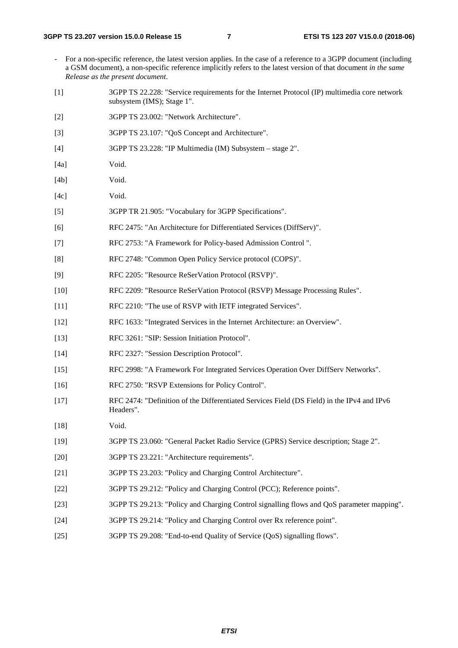- For a non-specific reference, the latest version applies. In the case of a reference to a 3GPP document (including a GSM document), a non-specific reference implicitly refers to the latest version of that document *in the same Release as the present document*.
- [1] 3GPP TS 22.228: "Service requirements for the Internet Protocol (IP) multimedia core network subsystem (IMS); Stage 1".
- [2] 3GPP TS 23.002: "Network Architecture".
- [3] 3GPP TS 23.107: "QoS Concept and Architecture".
- [4] 3GPP TS 23.228: "IP Multimedia (IM) Subsystem stage 2".
- [4a] Void.
- [4b] Void.
- [4c] Void.
- [5] 3GPP TR 21.905: "Vocabulary for 3GPP Specifications".
- [6] RFC 2475: "An Architecture for Differentiated Services (DiffServ)".
- [7] RFC 2753: "A Framework for Policy-based Admission Control ".
- [8] RFC 2748: "Common Open Policy Service protocol (COPS)".
- [9] RFC 2205: "Resource ReSerVation Protocol (RSVP)".
- [10] RFC 2209: "Resource ReSerVation Protocol (RSVP) Message Processing Rules".
- [11] RFC 2210: "The use of RSVP with IETF integrated Services".
- [12] RFC 1633: "Integrated Services in the Internet Architecture: an Overview".
- [13] RFC 3261: "SIP: Session Initiation Protocol".
- [14] RFC 2327: "Session Description Protocol".
- [15] RFC 2998: "A Framework For Integrated Services Operation Over DiffServ Networks".
- [16] RFC 2750: "RSVP Extensions for Policy Control".
- [17] RFC 2474: "Definition of the Differentiated Services Field (DS Field) in the IPv4 and IPv6 Headers".
- [18] Void.
- [19] 3GPP TS 23.060: "General Packet Radio Service (GPRS) Service description; Stage 2".
- [20] 3GPP TS 23.221: "Architecture requirements".
- [21] 3GPP TS 23.203: "Policy and Charging Control Architecture".
- [22] 3GPP TS 29.212: "Policy and Charging Control (PCC); Reference points".
- [23] 3GPP TS 29.213: "Policy and Charging Control signalling flows and QoS parameter mapping".
- [24] 3GPP TS 29.214: "Policy and Charging Control over Rx reference point".
- [25] 3GPP TS 29.208: "End-to-end Quality of Service (QoS) signalling flows".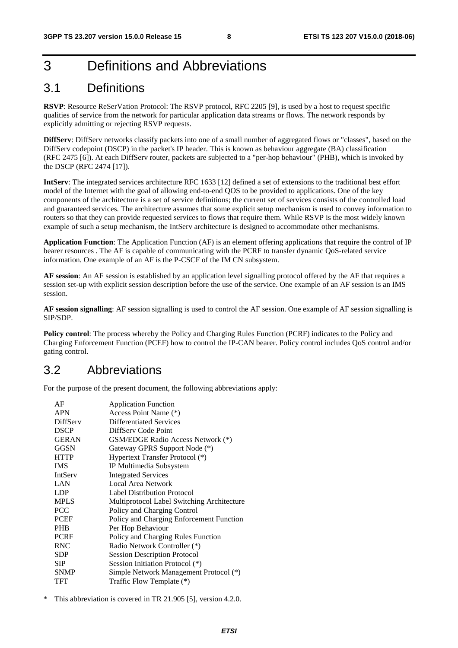# 3 Definitions and Abbreviations

### 3.1 Definitions

**RSVP**: Resource ReSerVation Protocol: The RSVP protocol, RFC 2205 [9], is used by a host to request specific qualities of service from the network for particular application data streams or flows. The network responds by explicitly admitting or rejecting RSVP requests.

**DiffServ**: DiffServ networks classify packets into one of a small number of aggregated flows or "classes", based on the DiffServ codepoint (DSCP) in the packet's IP header. This is known as behaviour aggregate (BA) classification (RFC 2475 [6]). At each DiffServ router, packets are subjected to a "per-hop behaviour" (PHB), which is invoked by the DSCP (RFC 2474 [17]).

**IntServ**: The integrated services architecture RFC 1633 [12] defined a set of extensions to the traditional best effort model of the Internet with the goal of allowing end-to-end QOS to be provided to applications. One of the key components of the architecture is a set of service definitions; the current set of services consists of the controlled load and guaranteed services. The architecture assumes that some explicit setup mechanism is used to convey information to routers so that they can provide requested services to flows that require them. While RSVP is the most widely known example of such a setup mechanism, the IntServ architecture is designed to accommodate other mechanisms.

**Application Function**: The Application Function (AF) is an element offering applications that require the control of IP bearer resources . The AF is capable of communicating with the PCRF to transfer dynamic QoS-related service information. One example of an AF is the P-CSCF of the IM CN subsystem.

**AF session**: An AF session is established by an application level signalling protocol offered by the AF that requires a session set-up with explicit session description before the use of the service. One example of an AF session is an IMS session.

**AF session signalling**: AF session signalling is used to control the AF session. One example of AF session signalling is SIP/SDP.

**Policy control**: The process whereby the Policy and Charging Rules Function (PCRF) indicates to the Policy and Charging Enforcement Function (PCEF) how to control the IP-CAN bearer. Policy control includes QoS control and/or gating control.

### 3.2 Abbreviations

For the purpose of the present document, the following abbreviations apply:

| AF              | <b>Application Function</b>                |
|-----------------|--------------------------------------------|
| <b>APN</b>      | Access Point Name (*)                      |
| <b>DiffServ</b> | Differentiated Services                    |
| <b>DSCP</b>     | DiffServ Code Point                        |
| <b>GERAN</b>    | GSM/EDGE Radio Access Network (*)          |
| <b>GGSN</b>     | Gateway GPRS Support Node (*)              |
| <b>HTTP</b>     | Hypertext Transfer Protocol (*)            |
| <b>IMS</b>      | IP Multimedia Subsystem                    |
| <b>IntServ</b>  | <b>Integrated Services</b>                 |
| LAN             | Local Area Network                         |
| <b>LDP</b>      | <b>Label Distribution Protocol</b>         |
| <b>MPLS</b>     | Multiprotocol Label Switching Architecture |
| <b>PCC</b>      | Policy and Charging Control                |
| <b>PCEF</b>     | Policy and Charging Enforcement Function   |
| <b>PHB</b>      | Per Hop Behaviour                          |
| <b>PCRF</b>     | Policy and Charging Rules Function         |
| <b>RNC</b>      | Radio Network Controller (*)               |
| <b>SDP</b>      | <b>Session Description Protocol</b>        |
| <b>SIP</b>      | Session Initiation Protocol (*)            |
| <b>SNMP</b>     | Simple Network Management Protocol (*)     |
| TFT             | Traffic Flow Template (*)                  |
|                 |                                            |

This abbreviation is covered in TR 21.905 [5], version 4.2.0.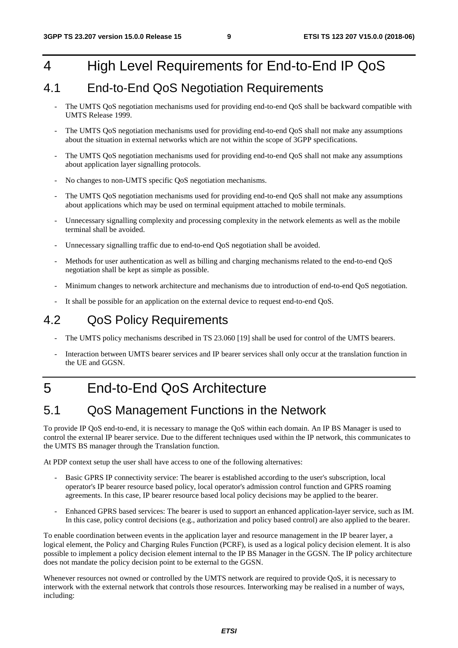# 4 High Level Requirements for End-to-End IP QoS

### 4.1 End-to-End QoS Negotiation Requirements

- The UMTS QoS negotiation mechanisms used for providing end-to-end QoS shall be backward compatible with UMTS Release 1999.
- The UMTS QoS negotiation mechanisms used for providing end-to-end QoS shall not make any assumptions about the situation in external networks which are not within the scope of 3GPP specifications.
- The UMTS QoS negotiation mechanisms used for providing end-to-end QoS shall not make any assumptions about application layer signalling protocols.
- No changes to non-UMTS specific QoS negotiation mechanisms.
- The UMTS QoS negotiation mechanisms used for providing end-to-end QoS shall not make any assumptions about applications which may be used on terminal equipment attached to mobile terminals.
- Unnecessary signalling complexity and processing complexity in the network elements as well as the mobile terminal shall be avoided.
- Unnecessary signalling traffic due to end-to-end QoS negotiation shall be avoided.
- Methods for user authentication as well as billing and charging mechanisms related to the end-to-end QoS negotiation shall be kept as simple as possible.
- Minimum changes to network architecture and mechanisms due to introduction of end-to-end QoS negotiation.
- It shall be possible for an application on the external device to request end-to-end QoS.

# 4.2 QoS Policy Requirements

- The UMTS policy mechanisms described in TS 23.060 [19] shall be used for control of the UMTS bearers.
- Interaction between UMTS bearer services and IP bearer services shall only occur at the translation function in the UE and GGSN.

# 5 End-to-End QoS Architecture

# 5.1 QoS Management Functions in the Network

To provide IP QoS end-to-end, it is necessary to manage the QoS within each domain. An IP BS Manager is used to control the external IP bearer service. Due to the different techniques used within the IP network, this communicates to the UMTS BS manager through the Translation function.

At PDP context setup the user shall have access to one of the following alternatives:

- Basic GPRS IP connectivity service: The bearer is established according to the user's subscription, local operator's IP bearer resource based policy, local operator's admission control function and GPRS roaming agreements. In this case, IP bearer resource based local policy decisions may be applied to the bearer.
- Enhanced GPRS based services: The bearer is used to support an enhanced application-layer service, such as IM. In this case, policy control decisions (e.g., authorization and policy based control) are also applied to the bearer.

To enable coordination between events in the application layer and resource management in the IP bearer layer, a logical element, the Policy and Charging Rules Function (PCRF), is used as a logical policy decision element. It is also possible to implement a policy decision element internal to the IP BS Manager in the GGSN. The IP policy architecture does not mandate the policy decision point to be external to the GGSN.

Whenever resources not owned or controlled by the UMTS network are required to provide QoS, it is necessary to interwork with the external network that controls those resources. Interworking may be realised in a number of ways, including: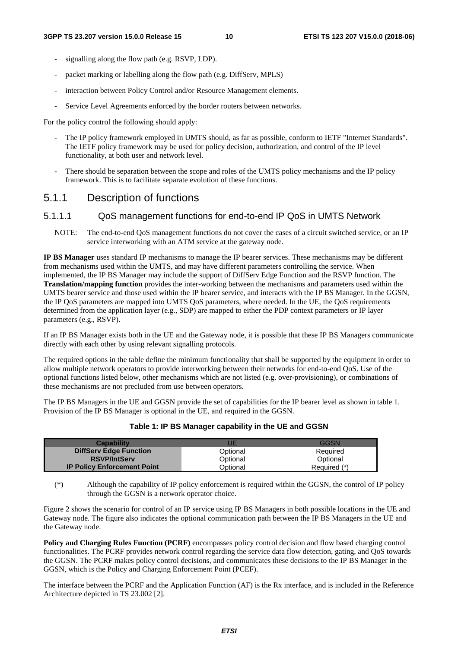- signalling along the flow path (e.g. RSVP, LDP).
- packet marking or labelling along the flow path (e.g. DiffServ, MPLS)
- interaction between Policy Control and/or Resource Management elements.
- Service Level Agreements enforced by the border routers between networks.

For the policy control the following should apply:

- The IP policy framework employed in UMTS should, as far as possible, conform to IETF "Internet Standards". The IETF policy framework may be used for policy decision, authorization, and control of the IP level functionality, at both user and network level.
- There should be separation between the scope and roles of the UMTS policy mechanisms and the IP policy framework. This is to facilitate separate evolution of these functions.

### 5.1.1 Description of functions

#### 5.1.1.1 QoS management functions for end-to-end IP QoS in UMTS Network

NOTE: The end-to-end QoS management functions do not cover the cases of a circuit switched service, or an IP service interworking with an ATM service at the gateway node.

**IP BS Manager** uses standard IP mechanisms to manage the IP bearer services. These mechanisms may be different from mechanisms used within the UMTS, and may have different parameters controlling the service. When implemented, the IP BS Manager may include the support of DiffServ Edge Function and the RSVP function. The **Translation/mapping function** provides the inter-working between the mechanisms and parameters used within the UMTS bearer service and those used within the IP bearer service, and interacts with the IP BS Manager. In the GGSN, the IP QoS parameters are mapped into UMTS QoS parameters, where needed. In the UE, the QoS requirements determined from the application layer (e.g., SDP) are mapped to either the PDP context parameters or IP layer parameters (e.g., RSVP).

If an IP BS Manager exists both in the UE and the Gateway node, it is possible that these IP BS Managers communicate directly with each other by using relevant signalling protocols.

The required options in the table define the minimum functionality that shall be supported by the equipment in order to allow multiple network operators to provide interworking between their networks for end-to-end QoS. Use of the optional functions listed below, other mechanisms which are not listed (e.g. over-provisioning), or combinations of these mechanisms are not precluded from use between operators.

The IP BS Managers in the UE and GGSN provide the set of capabilities for the IP bearer level as shown in table 1. Provision of the IP BS Manager is optional in the UE, and required in the GGSN.

| <b>Capability</b>                  | JF       | GGSN         |
|------------------------------------|----------|--------------|
| <b>DiffServ Edge Function</b>      | Optional | Required     |
| <b>RSVP/IntServ</b>                | Optional | Optional     |
| <b>IP Policy Enforcement Point</b> | Optional | Required (*) |

#### **Table 1: IP BS Manager capability in the UE and GGSN**

(\*) Although the capability of IP policy enforcement is required within the GGSN, the control of IP policy through the GGSN is a network operator choice.

Figure 2 shows the scenario for control of an IP service using IP BS Managers in both possible locations in the UE and Gateway node. The figure also indicates the optional communication path between the IP BS Managers in the UE and the Gateway node.

**Policy and Charging Rules Function (PCRF)** encompasses policy control decision and flow based charging control functionalities. The PCRF provides network control regarding the service data flow detection, gating, and QoS towards the GGSN. The PCRF makes policy control decisions, and communicates these decisions to the IP BS Manager in the GGSN, which is the Policy and Charging Enforcement Point (PCEF).

The interface between the PCRF and the Application Function (AF) is the Rx interface, and is included in the Reference Architecture depicted in TS 23.002 [2].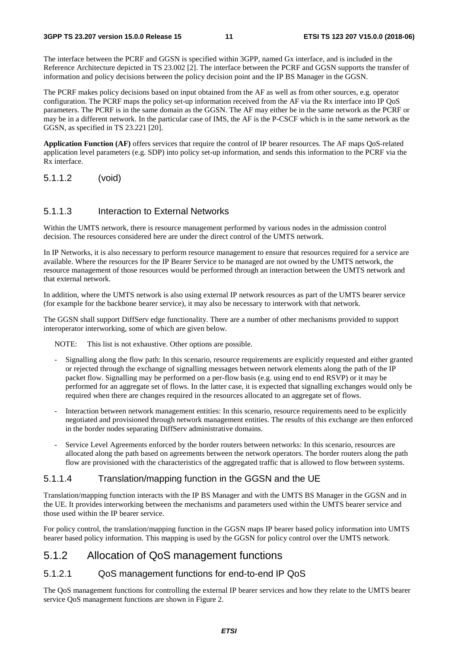The interface between the PCRF and GGSN is specified within 3GPP, named Gx interface, and is included in the Reference Architecture depicted in TS 23.002 [2]. The interface between the PCRF and GGSN supports the transfer of information and policy decisions between the policy decision point and the IP BS Manager in the GGSN.

The PCRF makes policy decisions based on input obtained from the AF as well as from other sources, e.g. operator configuration. The PCRF maps the policy set-up information received from the AF via the Rx interface into IP QoS parameters. The PCRF is in the same domain as the GGSN. The AF may either be in the same network as the PCRF or may be in a different network. In the particular case of IMS, the AF is the P-CSCF which is in the same network as the GGSN, as specified in TS 23.221 [20].

**Application Function (AF)** offers services that require the control of IP bearer resources. The AF maps QoS-related application level parameters (e.g. SDP) into policy set-up information, and sends this information to the PCRF via the Rx interface.

5.1.1.2 (void)

#### 5.1.1.3 Interaction to External Networks

Within the UMTS network, there is resource management performed by various nodes in the admission control decision. The resources considered here are under the direct control of the UMTS network.

In IP Networks, it is also necessary to perform resource management to ensure that resources required for a service are available. Where the resources for the IP Bearer Service to be managed are not owned by the UMTS network, the resource management of those resources would be performed through an interaction between the UMTS network and that external network.

In addition, where the UMTS network is also using external IP network resources as part of the UMTS bearer service (for example for the backbone bearer service), it may also be necessary to interwork with that network.

The GGSN shall support DiffServ edge functionality. There are a number of other mechanisms provided to support interoperator interworking, some of which are given below.

NOTE: This list is not exhaustive. Other options are possible.

- Signalling along the flow path: In this scenario, resource requirements are explicitly requested and either granted or rejected through the exchange of signalling messages between network elements along the path of the IP packet flow. Signalling may be performed on a per-flow basis (e.g. using end to end RSVP) or it may be performed for an aggregate set of flows. In the latter case, it is expected that signalling exchanges would only be required when there are changes required in the resources allocated to an aggregate set of flows.
- Interaction between network management entities: In this scenario, resource requirements need to be explicitly negotiated and provisioned through network management entities. The results of this exchange are then enforced in the border nodes separating DiffServ administrative domains.
- Service Level Agreements enforced by the border routers between networks: In this scenario, resources are allocated along the path based on agreements between the network operators. The border routers along the path flow are provisioned with the characteristics of the aggregated traffic that is allowed to flow between systems.

#### 5.1.1.4 Translation/mapping function in the GGSN and the UE

Translation/mapping function interacts with the IP BS Manager and with the UMTS BS Manager in the GGSN and in the UE. It provides interworking between the mechanisms and parameters used within the UMTS bearer service and those used within the IP bearer service.

For policy control, the translation/mapping function in the GGSN maps IP bearer based policy information into UMTS bearer based policy information. This mapping is used by the GGSN for policy control over the UMTS network.

### 5.1.2 Allocation of QoS management functions

#### 5.1.2.1 QoS management functions for end-to-end IP QoS

The QoS management functions for controlling the external IP bearer services and how they relate to the UMTS bearer service QoS management functions are shown in Figure 2.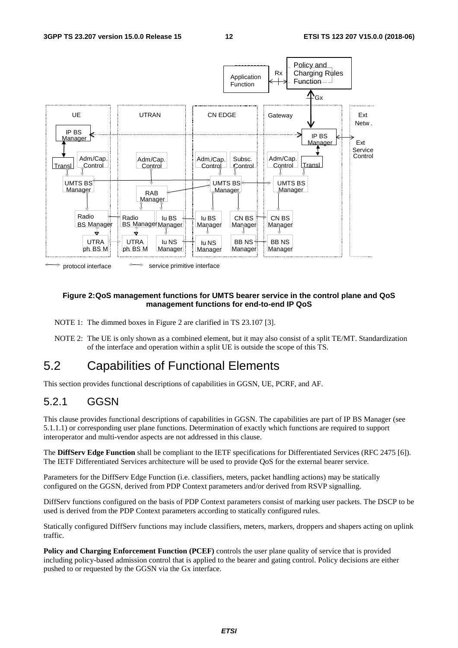

service primitive interface protocol interface

#### **Figure 2: QoS management functions for UMTS bearer service in the control plane and QoS management functions for end-to-end IP QoS**

NOTE 1: The dimmed boxes in Figure 2 are clarified in TS 23.107 [3].

NOTE 2: The UE is only shown as a combined element, but it may also consist of a split TE/MT. Standardization of the interface and operation within a split UE is outside the scope of this TS.

### 5.2 Capabilities of Functional Elements

This section provides functional descriptions of capabilities in GGSN, UE, PCRF, and AF.

### 5.2.1 GGSN

This clause provides functional descriptions of capabilities in GGSN. The capabilities are part of IP BS Manager (see 5.1.1.1) or corresponding user plane functions. Determination of exactly which functions are required to support interoperator and multi-vendor aspects are not addressed in this clause.

The **DiffServ Edge Function** shall be compliant to the IETF specifications for Differentiated Services (RFC 2475 [6]). The IETF Differentiated Services architecture will be used to provide QoS for the external bearer service.

Parameters for the DiffServ Edge Function (i.e. classifiers, meters, packet handling actions) may be statically configured on the GGSN, derived from PDP Context parameters and/or derived from RSVP signalling.

DiffServ functions configured on the basis of PDP Context parameters consist of marking user packets. The DSCP to be used is derived from the PDP Context parameters according to statically configured rules.

Statically configured DiffServ functions may include classifiers, meters, markers, droppers and shapers acting on uplink traffic.

**Policy and Charging Enforcement Function (PCEF)** controls the user plane quality of service that is provided including policy-based admission control that is applied to the bearer and gating control. Policy decisions are either pushed to or requested by the GGSN via the Gx interface.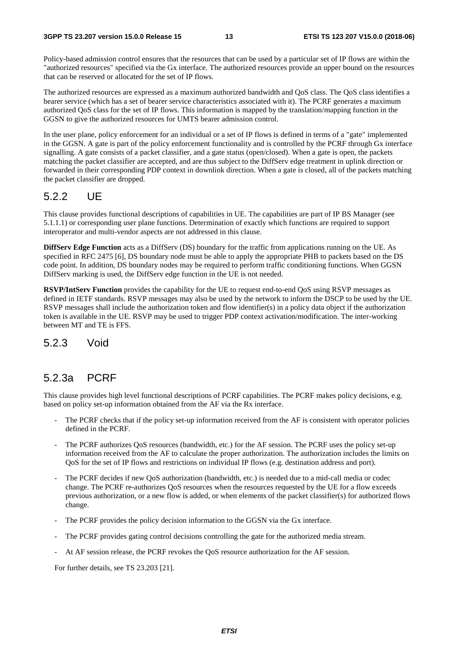Policy-based admission control ensures that the resources that can be used by a particular set of IP flows are within the "authorized resources" specified via the Gx interface. The authorized resources provide an upper bound on the resources that can be reserved or allocated for the set of IP flows.

The authorized resources are expressed as a maximum authorized bandwidth and QoS class. The QoS class identifies a bearer service (which has a set of bearer service characteristics associated with it). The PCRF generates a maximum authorized QoS class for the set of IP flows. This information is mapped by the translation/mapping function in the GGSN to give the authorized resources for UMTS bearer admission control.

In the user plane, policy enforcement for an individual or a set of IP flows is defined in terms of a "gate" implemented in the GGSN. A gate is part of the policy enforcement functionality and is controlled by the PCRF through Gx interface signalling. A gate consists of a packet classifier, and a gate status (open/closed). When a gate is open, the packets matching the packet classifier are accepted, and are thus subject to the DiffServ edge treatment in uplink direction or forwarded in their corresponding PDP context in downlink direction. When a gate is closed, all of the packets matching the packet classifier are dropped.

### 5.2.2 UE

This clause provides functional descriptions of capabilities in UE. The capabilities are part of IP BS Manager (see 5.1.1.1) or corresponding user plane functions. Determination of exactly which functions are required to support interoperator and multi-vendor aspects are not addressed in this clause.

**DiffServ Edge Function** acts as a DiffServ (DS) boundary for the traffic from applications running on the UE. As specified in RFC 2475 [6], DS boundary node must be able to apply the appropriate PHB to packets based on the DS code point. In addition, DS boundary nodes may be required to perform traffic conditioning functions. When GGSN DiffServ marking is used, the DiffServ edge function in the UE is not needed.

**RSVP/IntServ Function** provides the capability for the UE to request end-to-end QoS using RSVP messages as defined in IETF standards. RSVP messages may also be used by the network to inform the DSCP to be used by the UE. RSVP messages shall include the authorization token and flow identifier(s) in a policy data object if the authorization token is available in the UE. RSVP may be used to trigger PDP context activation/modification. The inter-working between MT and TE is FFS.

### 5.2.3 Void

### 5.2.3a PCRF

This clause provides high level functional descriptions of PCRF capabilities. The PCRF makes policy decisions, e.g. based on policy set-up information obtained from the AF via the Rx interface.

- The PCRF checks that if the policy set-up information received from the AF is consistent with operator policies defined in the PCRF.
- The PCRF authorizes QoS resources (bandwidth, etc.) for the AF session. The PCRF uses the policy set-up information received from the AF to calculate the proper authorization. The authorization includes the limits on QoS for the set of IP flows and restrictions on individual IP flows (e.g. destination address and port).
- The PCRF decides if new QoS authorization (bandwidth, etc.) is needed due to a mid-call media or codec change. The PCRF re-authorizes QoS resources when the resources requested by the UE for a flow exceeds previous authorization, or a new flow is added, or when elements of the packet classifier(s) for authorized flows change.
- The PCRF provides the policy decision information to the GGSN via the Gx interface.
- The PCRF provides gating control decisions controlling the gate for the authorized media stream.
- At AF session release, the PCRF revokes the OoS resource authorization for the AF session.

For further details, see TS 23.203 [21].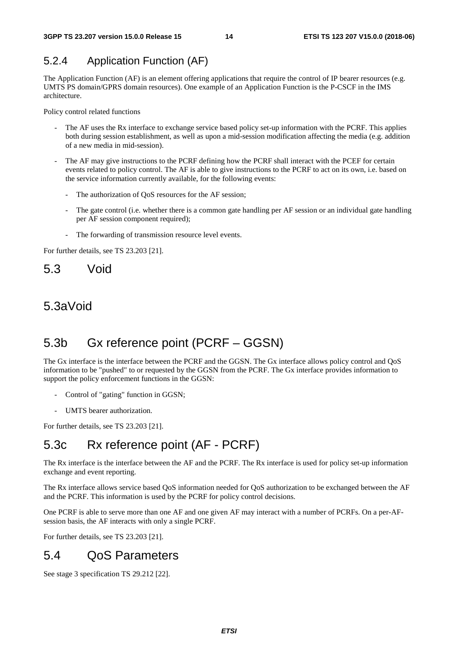### 5.2.4 Application Function (AF)

The Application Function (AF) is an element offering applications that require the control of IP bearer resources (e.g. UMTS PS domain/GPRS domain resources). One example of an Application Function is the P-CSCF in the IMS architecture.

Policy control related functions

- The AF uses the Rx interface to exchange service based policy set-up information with the PCRF. This applies both during session establishment, as well as upon a mid-session modification affecting the media (e.g. addition of a new media in mid-session).
- The AF may give instructions to the PCRF defining how the PCRF shall interact with the PCEF for certain events related to policy control. The AF is able to give instructions to the PCRF to act on its own, i.e. based on the service information currently available, for the following events:
	- The authorization of OoS resources for the AF session;
	- The gate control (i.e. whether there is a common gate handling per AF session or an individual gate handling per AF session component required);
	- The forwarding of transmission resource level events.

For further details, see TS 23.203 [21].

5.3 Void

### 5.3aVoid

# 5.3b Gx reference point (PCRF – GGSN)

The Gx interface is the interface between the PCRF and the GGSN. The Gx interface allows policy control and QoS information to be "pushed" to or requested by the GGSN from the PCRF. The Gx interface provides information to support the policy enforcement functions in the GGSN:

- Control of "gating" function in GGSN;
- UMTS bearer authorization.

For further details, see TS 23.203 [21].

# 5.3c Rx reference point (AF - PCRF)

The Rx interface is the interface between the AF and the PCRF. The Rx interface is used for policy set-up information exchange and event reporting.

The Rx interface allows service based QoS information needed for QoS authorization to be exchanged between the AF and the PCRF. This information is used by the PCRF for policy control decisions.

One PCRF is able to serve more than one AF and one given AF may interact with a number of PCRFs. On a per-AFsession basis, the AF interacts with only a single PCRF.

For further details, see TS 23.203 [21].

### 5.4 QoS Parameters

See stage 3 specification TS 29.212 [22].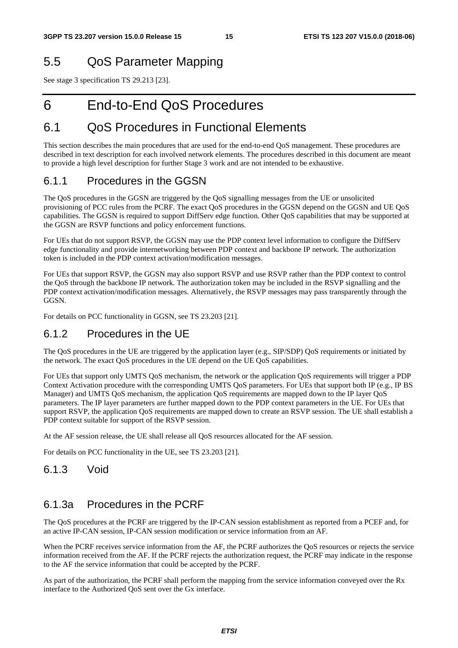# 5.5 QoS Parameter Mapping

See stage 3 specification TS 29.213 [23].

# 6 End-to-End QoS Procedures

# 6.1 QoS Procedures in Functional Elements

This section describes the main procedures that are used for the end-to-end QoS management. These procedures are described in text description for each involved network elements. The procedures described in this document are meant to provide a high level description for further Stage 3 work and are not intended to be exhaustive.

### 6.1.1 Procedures in the GGSN

The QoS procedures in the GGSN are triggered by the QoS signalling messages from the UE or unsolicited provisioning of PCC rules from the PCRF. The exact QoS procedures in the GGSN depend on the GGSN and UE QoS capabilities. The GGSN is required to support DiffServ edge function. Other QoS capabilities that may be supported at the GGSN are RSVP functions and policy enforcement functions.

For UEs that do not support RSVP, the GGSN may use the PDP context level information to configure the DiffServ edge functionality and provide internetworking between PDP context and backbone IP network. The authorization token is included in the PDP context activation/modification messages.

For UEs that support RSVP, the GGSN may also support RSVP and use RSVP rather than the PDP context to control the QoS through the backbone IP network. The authorization token may be included in the RSVP signalling and the PDP context activation/modification messages. Alternatively, the RSVP messages may pass transparently through the GGSN.

For details on PCC functionality in GGSN, see TS 23.203 [21].

### 6.1.2 Procedures in the UE

The QoS procedures in the UE are triggered by the application layer (e.g., SIP/SDP) QoS requirements or initiated by the network. The exact QoS procedures in the UE depend on the UE QoS capabilities.

For UEs that support only UMTS QoS mechanism, the network or the application QoS requirements will trigger a PDP Context Activation procedure with the corresponding UMTS QoS parameters. For UEs that support both IP (e.g., IP BS Manager) and UMTS QoS mechanism, the application QoS requirements are mapped down to the IP layer QoS parameters. The IP layer parameters are further mapped down to the PDP context parameters in the UE. For UEs that support RSVP, the application QoS requirements are mapped down to create an RSVP session. The UE shall establish a PDP context suitable for support of the RSVP session.

At the AF session release, the UE shall release all QoS resources allocated for the AF session.

For details on PCC functionality in the UE, see TS 23.203 [21].

### 6.1.3 Void

### 6.1.3a Procedures in the PCRF

The QoS procedures at the PCRF are triggered by the IP-CAN session establishment as reported from a PCEF and, for an active IP-CAN session, IP-CAN session modification or service information from an AF.

When the PCRF receives service information from the AF, the PCRF authorizes the OoS resources or rejects the service information received from the AF. If the PCRF rejects the authorization request, the PCRF may indicate in the response to the AF the service information that could be accepted by the PCRF.

As part of the authorization, the PCRF shall perform the mapping from the service information conveyed over the Rx interface to the Authorized QoS sent over the Gx interface.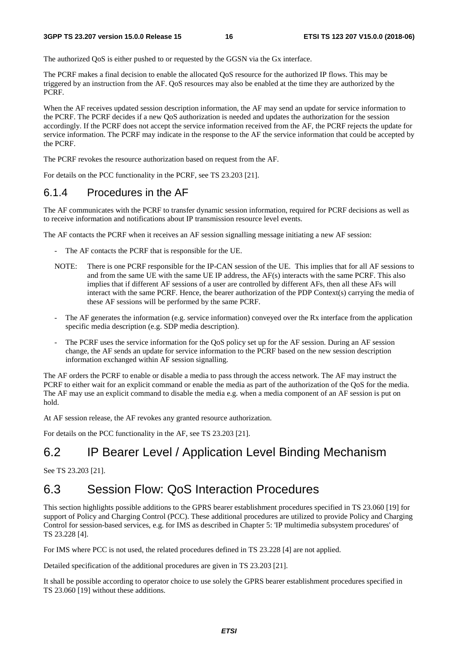The authorized QoS is either pushed to or requested by the GGSN via the Gx interface.

The PCRF makes a final decision to enable the allocated QoS resource for the authorized IP flows. This may be triggered by an instruction from the AF. QoS resources may also be enabled at the time they are authorized by the PCRF.

When the AF receives updated session description information, the AF may send an update for service information to the PCRF. The PCRF decides if a new QoS authorization is needed and updates the authorization for the session accordingly. If the PCRF does not accept the service information received from the AF, the PCRF rejects the update for service information. The PCRF may indicate in the response to the AF the service information that could be accepted by the PCRF.

The PCRF revokes the resource authorization based on request from the AF.

For details on the PCC functionality in the PCRF, see TS 23.203 [21].

#### 6.1.4 Procedures in the AF

The AF communicates with the PCRF to transfer dynamic session information, required for PCRF decisions as well as to receive information and notifications about IP transmission resource level events.

The AF contacts the PCRF when it receives an AF session signalling message initiating a new AF session:

- The AF contacts the PCRF that is responsible for the UE.
- NOTE: There is one PCRF responsible for the IP-CAN session of the UE. This implies that for all AF sessions to and from the same UE with the same UE IP address, the AF(s) interacts with the same PCRF. This also implies that if different AF sessions of a user are controlled by different AFs, then all these AFs will interact with the same PCRF. Hence, the bearer authorization of the PDP Context(s) carrying the media of these AF sessions will be performed by the same PCRF.
- The AF generates the information (e.g. service information) conveyed over the Rx interface from the application specific media description (e.g. SDP media description).
- The PCRF uses the service information for the QoS policy set up for the AF session. During an AF session change, the AF sends an update for service information to the PCRF based on the new session description information exchanged within AF session signalling.

The AF orders the PCRF to enable or disable a media to pass through the access network. The AF may instruct the PCRF to either wait for an explicit command or enable the media as part of the authorization of the QoS for the media. The AF may use an explicit command to disable the media e.g. when a media component of an AF session is put on hold.

At AF session release, the AF revokes any granted resource authorization.

For details on the PCC functionality in the AF, see TS 23.203 [21].

# 6.2 IP Bearer Level / Application Level Binding Mechanism

See TS 23.203 [21].

## 6.3 Session Flow: QoS Interaction Procedures

This section highlights possible additions to the GPRS bearer establishment procedures specified in TS 23.060 [19] for support of Policy and Charging Control (PCC). These additional procedures are utilized to provide Policy and Charging Control for session-based services, e.g. for IMS as described in Chapter 5: 'IP multimedia subsystem procedures' of TS 23.228 [4].

For IMS where PCC is not used, the related procedures defined in TS 23.228 [4] are not applied.

Detailed specification of the additional procedures are given in TS 23.203 [21].

It shall be possible according to operator choice to use solely the GPRS bearer establishment procedures specified in TS 23.060 [19] without these additions.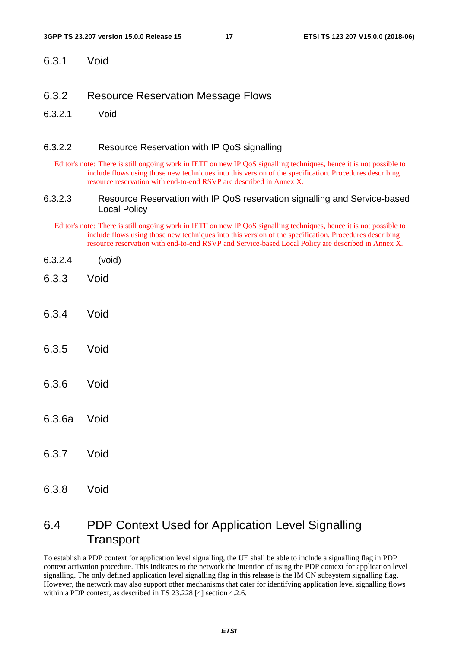6.3.1 Void

### 6.3.2 Resource Reservation Message Flows

6.3.2.1 Void

#### 6.3.2.2 Resource Reservation with IP QoS signalling

Editor's note: There is still ongoing work in IETF on new IP QoS signalling techniques, hence it is not possible to include flows using those new techniques into this version of the specification. Procedures describing resource reservation with end-to-end RSVP are described in Annex X.

#### 6.3.2.3 Resource Reservation with IP QoS reservation signalling and Service-based Local Policy

- 6.3.2.4 (void)
- 6.3.3 Void
- 6.3.4 Void
- 6.3.5 Void
- 6.3.6 Void
- 6.3.6a Void
- 6.3.7 Void
- 6.3.8 Void

### 6.4 PDP Context Used for Application Level Signalling **Transport**

To establish a PDP context for application level signalling, the UE shall be able to include a signalling flag in PDP context activation procedure. This indicates to the network the intention of using the PDP context for application level signalling. The only defined application level signalling flag in this release is the IM CN subsystem signalling flag. However, the network may also support other mechanisms that cater for identifying application level signalling flows within a PDP context, as described in TS 23.228 [4] section 4.2.6.

Editor's note: There is still ongoing work in IETF on new IP QoS signalling techniques, hence it is not possible to include flows using those new techniques into this version of the specification. Procedures describing resource reservation with end-to-end RSVP and Service-based Local Policy are described in Annex X.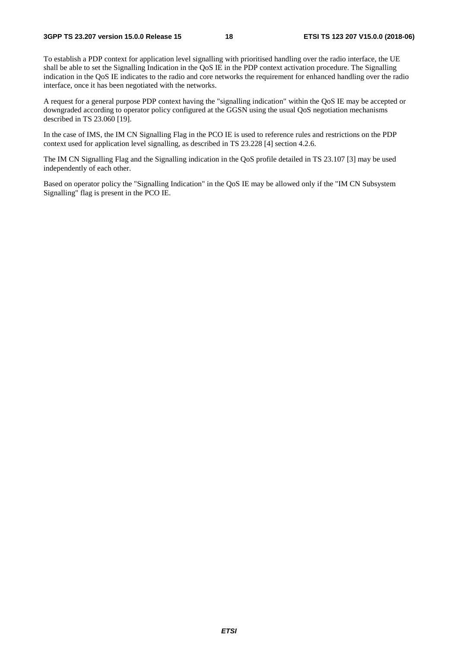To establish a PDP context for application level signalling with prioritised handling over the radio interface, the UE shall be able to set the Signalling Indication in the QoS IE in the PDP context activation procedure. The Signalling indication in the QoS IE indicates to the radio and core networks the requirement for enhanced handling over the radio interface, once it has been negotiated with the networks.

A request for a general purpose PDP context having the "signalling indication" within the QoS IE may be accepted or downgraded according to operator policy configured at the GGSN using the usual QoS negotiation mechanisms described in TS 23.060 [19].

In the case of IMS, the IM CN Signalling Flag in the PCO IE is used to reference rules and restrictions on the PDP context used for application level signalling, as described in TS 23.228 [4] section 4.2.6.

The IM CN Signalling Flag and the Signalling indication in the QoS profile detailed in TS 23.107 [3] may be used independently of each other.

Based on operator policy the "Signalling Indication" in the QoS IE may be allowed only if the "IM CN Subsystem Signalling" flag is present in the PCO IE.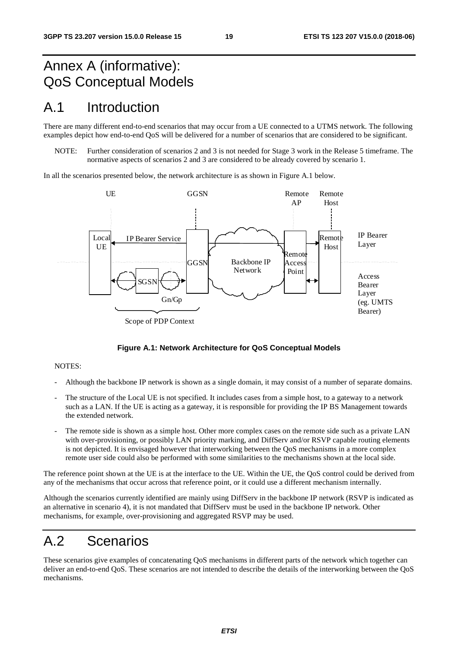# Annex A (informative): QoS Conceptual Models

# A.1 Introduction

There are many different end-to-end scenarios that may occur from a UE connected to a UTMS network. The following examples depict how end-to-end QoS will be delivered for a number of scenarios that are considered to be significant.

NOTE: Further consideration of scenarios 2 and 3 is not needed for Stage 3 work in the Release 5 timeframe. The normative aspects of scenarios 2 and 3 are considered to be already covered by scenario 1.

In all the scenarios presented below, the network architecture is as shown in Figure A.1 below.



#### **Figure A.1: Network Architecture for QoS Conceptual Models**

#### NOTES:

- Although the backbone IP network is shown as a single domain, it may consist of a number of separate domains.
- The structure of the Local UE is not specified. It includes cases from a simple host, to a gateway to a network such as a LAN. If the UE is acting as a gateway, it is responsible for providing the IP BS Management towards the extended network.
- The remote side is shown as a simple host. Other more complex cases on the remote side such as a private LAN with over-provisioning, or possibly LAN priority marking, and DiffServ and/or RSVP capable routing elements is not depicted. It is envisaged however that interworking between the QoS mechanisms in a more complex remote user side could also be performed with some similarities to the mechanisms shown at the local side.

The reference point shown at the UE is at the interface to the UE. Within the UE, the QoS control could be derived from any of the mechanisms that occur across that reference point, or it could use a different mechanism internally.

Although the scenarios currently identified are mainly using DiffServ in the backbone IP network (RSVP is indicated as an alternative in scenario 4), it is not mandated that DiffServ must be used in the backbone IP network. Other mechanisms, for example, over-provisioning and aggregated RSVP may be used.

# A.2 Scenarios

These scenarios give examples of concatenating QoS mechanisms in different parts of the network which together can deliver an end-to-end QoS. These scenarios are not intended to describe the details of the interworking between the QoS mechanisms.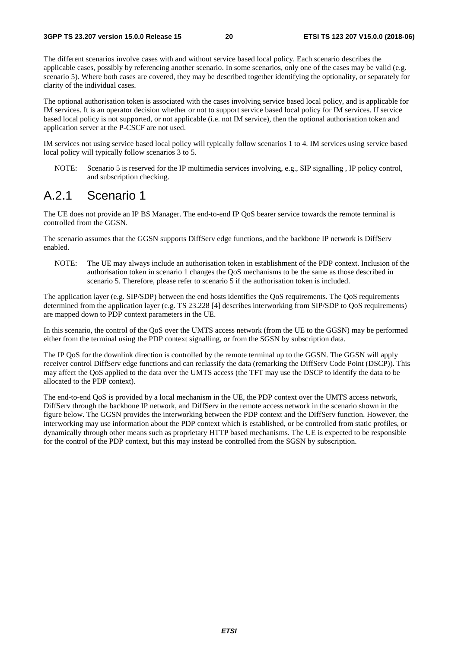The different scenarios involve cases with and without service based local policy. Each scenario describes the applicable cases, possibly by referencing another scenario. In some scenarios, only one of the cases may be valid (e.g. scenario 5). Where both cases are covered, they may be described together identifying the optionality, or separately for clarity of the individual cases.

The optional authorisation token is associated with the cases involving service based local policy, and is applicable for IM services. It is an operator decision whether or not to support service based local policy for IM services. If service based local policy is not supported, or not applicable (i.e. not IM service), then the optional authorisation token and application server at the P-CSCF are not used.

IM services not using service based local policy will typically follow scenarios 1 to 4. IM services using service based local policy will typically follow scenarios 3 to 5.

NOTE: Scenario 5 is reserved for the IP multimedia services involving, e.g., SIP signalling , IP policy control, and subscription checking.

### A.2.1 Scenario 1

The UE does not provide an IP BS Manager. The end-to-end IP QoS bearer service towards the remote terminal is controlled from the GGSN.

The scenario assumes that the GGSN supports DiffServ edge functions, and the backbone IP network is DiffServ enabled.

NOTE: The UE may always include an authorisation token in establishment of the PDP context. Inclusion of the authorisation token in scenario 1 changes the QoS mechanisms to be the same as those described in scenario 5. Therefore, please refer to scenario 5 if the authorisation token is included.

The application layer (e.g. SIP/SDP) between the end hosts identifies the QoS requirements. The QoS requirements determined from the application layer (e.g. TS 23.228 [4] describes interworking from SIP/SDP to QoS requirements) are mapped down to PDP context parameters in the UE.

In this scenario, the control of the QoS over the UMTS access network (from the UE to the GGSN) may be performed either from the terminal using the PDP context signalling, or from the SGSN by subscription data.

The IP QoS for the downlink direction is controlled by the remote terminal up to the GGSN. The GGSN will apply receiver control DiffServ edge functions and can reclassify the data (remarking the DiffServ Code Point (DSCP)). This may affect the QoS applied to the data over the UMTS access (the TFT may use the DSCP to identify the data to be allocated to the PDP context).

The end-to-end QoS is provided by a local mechanism in the UE, the PDP context over the UMTS access network, DiffServ through the backbone IP network, and DiffServ in the remote access network in the scenario shown in the figure below. The GGSN provides the interworking between the PDP context and the DiffServ function. However, the interworking may use information about the PDP context which is established, or be controlled from static profiles, or dynamically through other means such as proprietary HTTP based mechanisms. The UE is expected to be responsible for the control of the PDP context, but this may instead be controlled from the SGSN by subscription.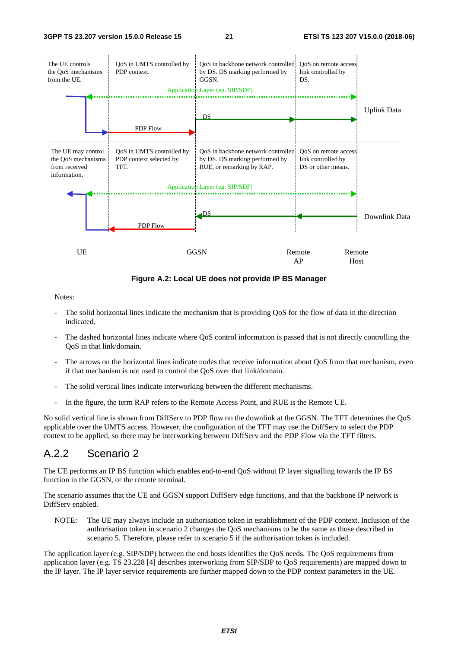

**Figure A.2: Local UE does not provide IP BS Manager** 

Notes:

- The solid horizontal lines indicate the mechanism that is providing QoS for the flow of data in the direction indicated.
- The dashed horizontal lines indicate where QoS control information is passed that is not directly controlling the QoS in that link/domain.
- The arrows on the horizontal lines indicate nodes that receive information about QoS from that mechanism, even if that mechanism is not used to control the QoS over that link/domain.
- The solid vertical lines indicate interworking between the different mechanisms.
- In the figure, the term RAP refers to the Remote Access Point, and RUE is the Remote UE.

No solid vertical line is shown from DiffServ to PDP flow on the downlink at the GGSN. The TFT determines the QoS applicable over the UMTS access. However, the configuration of the TFT may use the DiffServ to select the PDP context to be applied, so there may be interworking between DiffServ and the PDP Flow via the TFT filters.

### A.2.2 Scenario 2

The UE performs an IP BS function which enables end-to-end QoS without IP layer signalling towards the IP BS function in the GGSN, or the remote terminal.

The scenario assumes that the UE and GGSN support DiffServ edge functions, and that the backbone IP network is DiffServ enabled.

NOTE: The UE may always include an authorisation token in establishment of the PDP context. Inclusion of the authorisation token in scenario 2 changes the QoS mechanisms to be the same as those described in scenario 5. Therefore, please refer to scenario 5 if the authorisation token is included.

The application layer (e.g. SIP/SDP) between the end hosts identifies the QoS needs. The QoS requirements from application layer (e.g. TS 23.228 [4] describes interworking from SIP/SDP to QoS requirements) are mapped down to the IP layer. The IP layer service requirements are further mapped down to the PDP context parameters in the UE.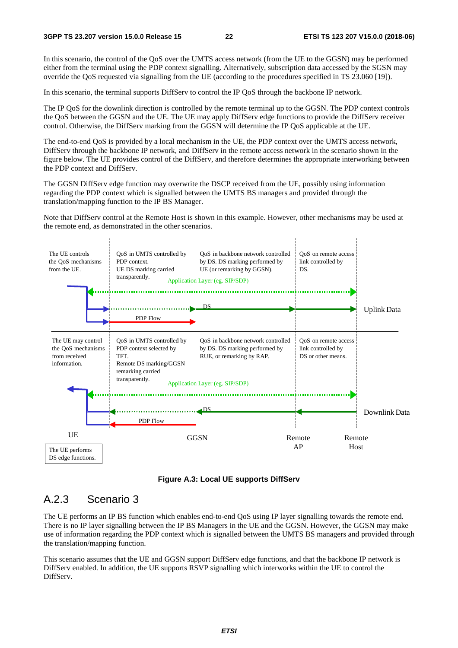In this scenario, the control of the QoS over the UMTS access network (from the UE to the GGSN) may be performed either from the terminal using the PDP context signalling. Alternatively, subscription data accessed by the SGSN may override the QoS requested via signalling from the UE (according to the procedures specified in TS 23.060 [19]).

In this scenario, the terminal supports DiffServ to control the IP QoS through the backbone IP network.

The IP QoS for the downlink direction is controlled by the remote terminal up to the GGSN. The PDP context controls the QoS between the GGSN and the UE. The UE may apply DiffServ edge functions to provide the DiffServ receiver control. Otherwise, the DiffServ marking from the GGSN will determine the IP QoS applicable at the UE.

The end-to-end QoS is provided by a local mechanism in the UE, the PDP context over the UMTS access network, DiffServ through the backbone IP network, and DiffServ in the remote access network in the scenario shown in the figure below. The UE provides control of the DiffServ, and therefore determines the appropriate interworking between the PDP context and DiffServ.

The GGSN DiffServ edge function may overwrite the DSCP received from the UE, possibly using information regarding the PDP context which is signalled between the UMTS BS managers and provided through the translation/mapping function to the IP BS Manager.

Note that DiffServ control at the Remote Host is shown in this example. However, other mechanisms may be used at the remote end, as demonstrated in the other scenarios.



**Figure A.3: Local UE supports DiffServ** 

### A.2.3 Scenario 3

The UE performs an IP BS function which enables end-to-end QoS using IP layer signalling towards the remote end. There is no IP layer signalling between the IP BS Managers in the UE and the GGSN. However, the GGSN may make use of information regarding the PDP context which is signalled between the UMTS BS managers and provided through the translation/mapping function.

This scenario assumes that the UE and GGSN support DiffServ edge functions, and that the backbone IP network is DiffServ enabled. In addition, the UE supports RSVP signalling which interworks within the UE to control the DiffServ.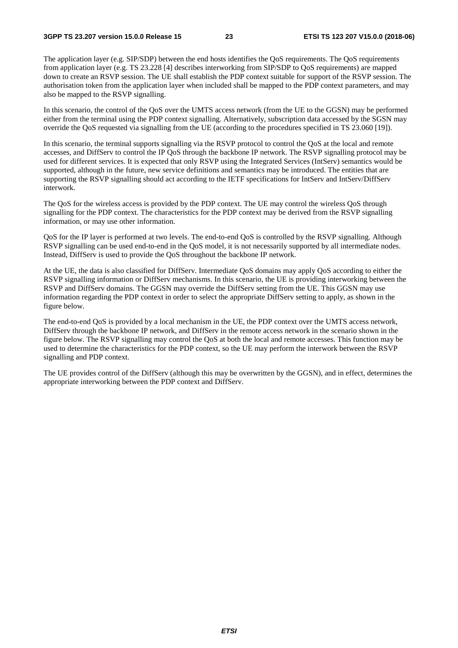The application layer (e.g. SIP/SDP) between the end hosts identifies the QoS requirements. The QoS requirements from application layer (e.g. TS 23.228 [4] describes interworking from SIP/SDP to QoS requirements) are mapped down to create an RSVP session. The UE shall establish the PDP context suitable for support of the RSVP session. The authorisation token from the application layer when included shall be mapped to the PDP context parameters, and may also be mapped to the RSVP signalling.

In this scenario, the control of the QoS over the UMTS access network (from the UE to the GGSN) may be performed either from the terminal using the PDP context signalling. Alternatively, subscription data accessed by the SGSN may override the QoS requested via signalling from the UE (according to the procedures specified in TS 23.060 [19]).

In this scenario, the terminal supports signalling via the RSVP protocol to control the QoS at the local and remote accesses, and DiffServ to control the IP QoS through the backbone IP network. The RSVP signalling protocol may be used for different services. It is expected that only RSVP using the Integrated Services (IntServ) semantics would be supported, although in the future, new service definitions and semantics may be introduced. The entities that are supporting the RSVP signalling should act according to the IETF specifications for IntServ and IntServ/DiffServ interwork.

The QoS for the wireless access is provided by the PDP context. The UE may control the wireless QoS through signalling for the PDP context. The characteristics for the PDP context may be derived from the RSVP signalling information, or may use other information.

QoS for the IP layer is performed at two levels. The end-to-end QoS is controlled by the RSVP signalling. Although RSVP signalling can be used end-to-end in the QoS model, it is not necessarily supported by all intermediate nodes. Instead, DiffServ is used to provide the QoS throughout the backbone IP network.

At the UE, the data is also classified for DiffServ. Intermediate QoS domains may apply QoS according to either the RSVP signalling information or DiffServ mechanisms. In this scenario, the UE is providing interworking between the RSVP and DiffServ domains. The GGSN may override the DiffServ setting from the UE. This GGSN may use information regarding the PDP context in order to select the appropriate DiffServ setting to apply, as shown in the figure below.

The end-to-end QoS is provided by a local mechanism in the UE, the PDP context over the UMTS access network, DiffServ through the backbone IP network, and DiffServ in the remote access network in the scenario shown in the figure below. The RSVP signalling may control the QoS at both the local and remote accesses. This function may be used to determine the characteristics for the PDP context, so the UE may perform the interwork between the RSVP signalling and PDP context.

The UE provides control of the DiffServ (although this may be overwritten by the GGSN), and in effect, determines the appropriate interworking between the PDP context and DiffServ.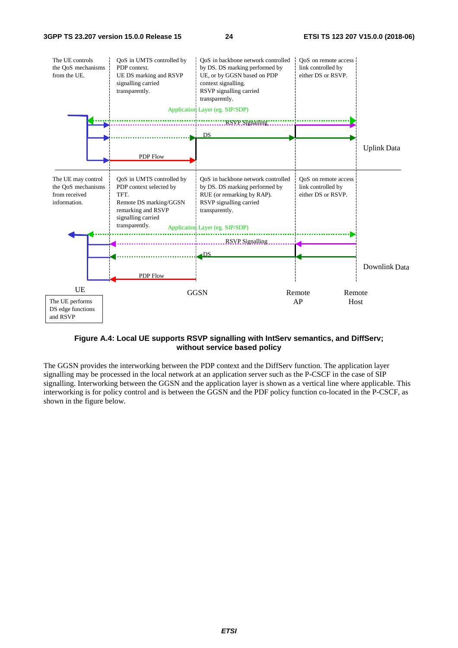



#### **Figure A.4: Local UE supports RSVP signalling with IntServ semantics, and DiffServ; without service based policy**

The GGSN provides the interworking between the PDP context and the DiffServ function. The application layer signalling may be processed in the local network at an application server such as the P-CSCF in the case of SIP signalling. Interworking between the GGSN and the application layer is shown as a vertical line where applicable. This interworking is for policy control and is between the GGSN and the PDF policy function co-located in the P-CSCF, as shown in the figure below.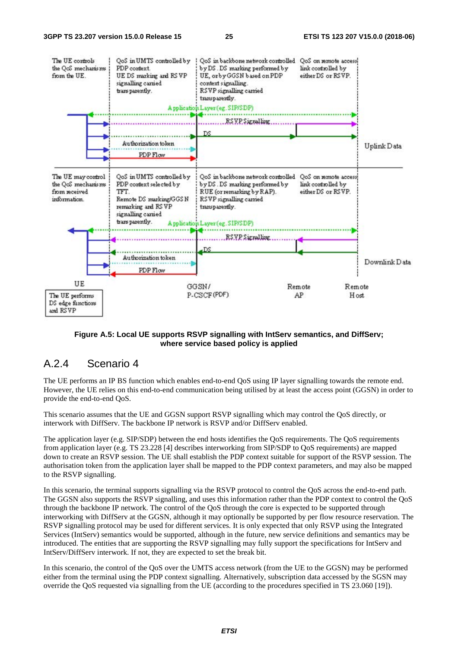

#### **Figure A.5: Local UE supports RSVP signalling with IntServ semantics, and DiffServ; where service based policy is applied**

### A.2.4 Scenario 4

The UE performs an IP BS function which enables end-to-end QoS using IP layer signalling towards the remote end. However, the UE relies on this end-to-end communication being utilised by at least the access point (GGSN) in order to provide the end-to-end QoS.

This scenario assumes that the UE and GGSN support RSVP signalling which may control the QoS directly, or interwork with DiffServ. The backbone IP network is RSVP and/or DiffServ enabled.

The application layer (e.g. SIP/SDP) between the end hosts identifies the QoS requirements. The QoS requirements from application layer (e.g. TS 23.228 [4] describes interworking from SIP/SDP to QoS requirements) are mapped down to create an RSVP session. The UE shall establish the PDP context suitable for support of the RSVP session. The authorisation token from the application layer shall be mapped to the PDP context parameters, and may also be mapped to the RSVP signalling.

In this scenario, the terminal supports signalling via the RSVP protocol to control the QoS across the end-to-end path. The GGSN also supports the RSVP signalling, and uses this information rather than the PDP context to control the QoS through the backbone IP network. The control of the QoS through the core is expected to be supported through interworking with DiffServ at the GGSN, although it may optionally be supported by per flow resource reservation. The RSVP signalling protocol may be used for different services. It is only expected that only RSVP using the Integrated Services (IntServ) semantics would be supported, although in the future, new service definitions and semantics may be introduced. The entities that are supporting the RSVP signalling may fully support the specifications for IntServ and IntServ/DiffServ interwork. If not, they are expected to set the break bit.

In this scenario, the control of the QoS over the UMTS access network (from the UE to the GGSN) may be performed either from the terminal using the PDP context signalling. Alternatively, subscription data accessed by the SGSN may override the QoS requested via signalling from the UE (according to the procedures specified in TS 23.060 [19]).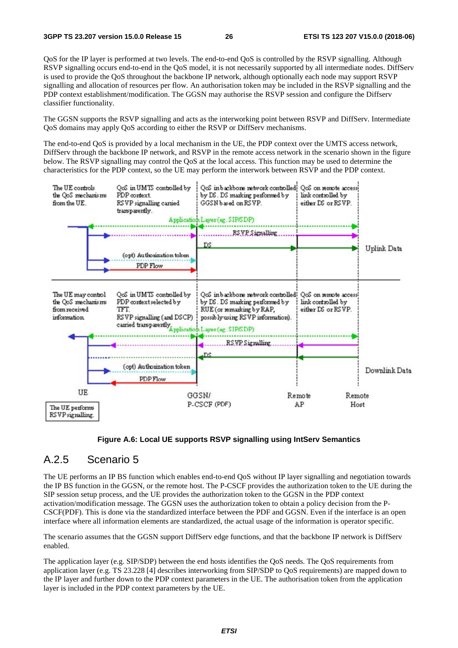QoS for the IP layer is performed at two levels. The end-to-end QoS is controlled by the RSVP signalling. Although RSVP signalling occurs end-to-end in the QoS model, it is not necessarily supported by all intermediate nodes. DiffServ is used to provide the QoS throughout the backbone IP network, although optionally each node may support RSVP signalling and allocation of resources per flow. An authorisation token may be included in the RSVP signalling and the PDP context establishment/modification. The GGSN may authorise the RSVP session and configure the Diffserv classifier functionality.

The GGSN supports the RSVP signalling and acts as the interworking point between RSVP and DiffServ. Intermediate QoS domains may apply QoS according to either the RSVP or DiffServ mechanisms.

The end-to-end QoS is provided by a local mechanism in the UE, the PDP context over the UMTS access network, DiffServ through the backbone IP network, and RSVP in the remote access network in the scenario shown in the figure below. The RSVP signalling may control the QoS at the local access. This function may be used to determine the characteristics for the PDP context, so the UE may perform the interwork between RSVP and the PDP context.





### A.2.5 Scenario 5

The UE performs an IP BS function which enables end-to-end QoS without IP layer signalling and negotiation towards the IP BS function in the GGSN, or the remote host. The P-CSCF provides the authorization token to the UE during the SIP session setup process, and the UE provides the authorization token to the GGSN in the PDP context activation/modification message. The GGSN uses the authorization token to obtain a policy decision from the P-CSCF(PDF). This is done via the standardized interface between the PDF and GGSN. Even if the interface is an open interface where all information elements are standardized, the actual usage of the information is operator specific.

The scenario assumes that the GGSN support DiffServ edge functions, and that the backbone IP network is DiffServ enabled.

The application layer (e.g. SIP/SDP) between the end hosts identifies the QoS needs. The QoS requirements from application layer (e.g. TS 23.228 [4] describes interworking from SIP/SDP to QoS requirements) are mapped down to the IP layer and further down to the PDP context parameters in the UE. The authorisation token from the application layer is included in the PDP context parameters by the UE.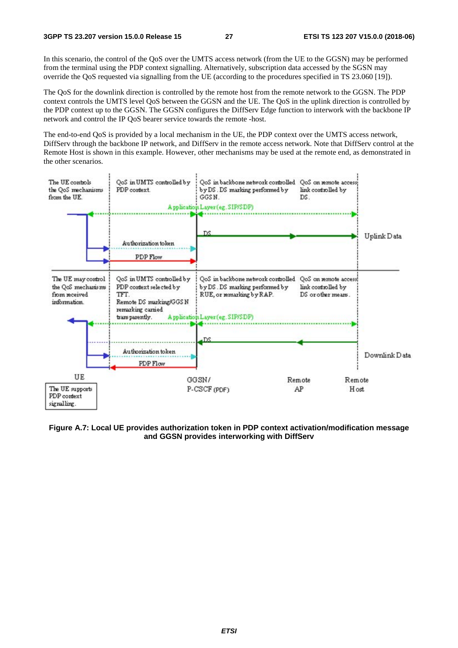In this scenario, the control of the QoS over the UMTS access network (from the UE to the GGSN) may be performed from the terminal using the PDP context signalling. Alternatively, subscription data accessed by the SGSN may override the QoS requested via signalling from the UE (according to the procedures specified in TS 23.060 [19]).

The QoS for the downlink direction is controlled by the remote host from the remote network to the GGSN. The PDP context controls the UMTS level QoS between the GGSN and the UE. The QoS in the uplink direction is controlled by the PDP context up to the GGSN. The GGSN configures the DiffServ Edge function to interwork with the backbone IP network and control the IP QoS bearer service towards the remote -host.

The end-to-end QoS is provided by a local mechanism in the UE, the PDP context over the UMTS access network, DiffServ through the backbone IP network, and DiffServ in the remote access network. Note that DiffServ control at the Remote Host is shown in this example. However, other mechanisms may be used at the remote end, as demonstrated in the other scenarios.



**Figure A.7: Local UE provides authorization token in PDP context activation/modification message and GGSN provides interworking with DiffServ**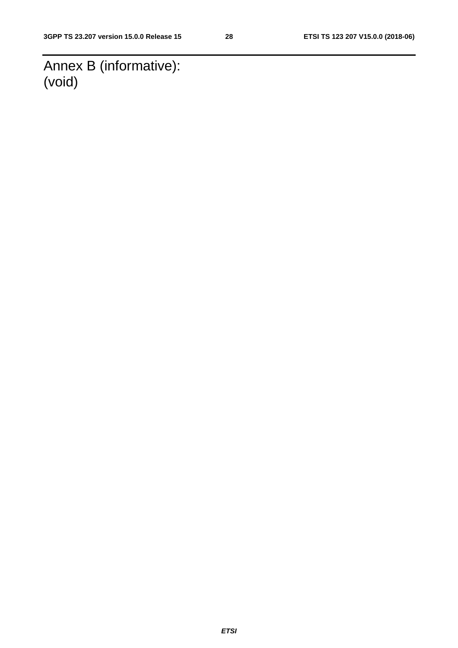Annex B (informative): (void)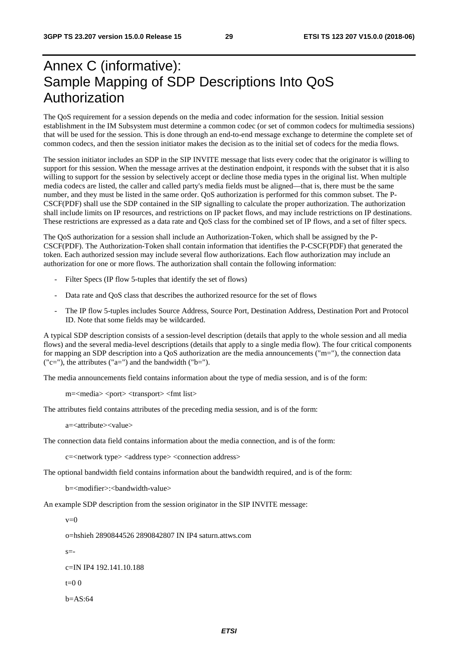# Annex C (informative): Sample Mapping of SDP Descriptions Into QoS Authorization

The QoS requirement for a session depends on the media and codec information for the session. Initial session establishment in the IM Subsystem must determine a common codec (or set of common codecs for multimedia sessions) that will be used for the session. This is done through an end-to-end message exchange to determine the complete set of common codecs, and then the session initiator makes the decision as to the initial set of codecs for the media flows.

The session initiator includes an SDP in the SIP INVITE message that lists every codec that the originator is willing to support for this session. When the message arrives at the destination endpoint, it responds with the subset that it is also willing to support for the session by selectively accept or decline those media types in the original list. When multiple media codecs are listed, the caller and called party's media fields must be aligned—that is, there must be the same number, and they must be listed in the same order. QoS authorization is performed for this common subset. The P-CSCF(PDF) shall use the SDP contained in the SIP signalling to calculate the proper authorization. The authorization shall include limits on IP resources, and restrictions on IP packet flows, and may include restrictions on IP destinations. These restrictions are expressed as a data rate and QoS class for the combined set of IP flows, and a set of filter specs.

The QoS authorization for a session shall include an Authorization-Token, which shall be assigned by the P-CSCF(PDF). The Authorization-Token shall contain information that identifies the P-CSCF(PDF) that generated the token. Each authorized session may include several flow authorizations. Each flow authorization may include an authorization for one or more flows. The authorization shall contain the following information:

- Filter Specs (IP flow 5-tuples that identify the set of flows)
- Data rate and QoS class that describes the authorized resource for the set of flows
- The IP flow 5-tuples includes Source Address, Source Port, Destination Address, Destination Port and Protocol ID. Note that some fields may be wildcarded.

A typical SDP description consists of a session-level description (details that apply to the whole session and all media flows) and the several media-level descriptions (details that apply to a single media flow). The four critical components for mapping an SDP description into a QoS authorization are the media announcements ("m="), the connection data  $('c=")$ , the attributes  $('a=")$  and the bandwidth  $('b=")$ .

The media announcements field contains information about the type of media session, and is of the form:

m=<media> <port> <transport> <fmt list>

The attributes field contains attributes of the preceding media session, and is of the form:

a=<attribute><value>

The connection data field contains information about the media connection, and is of the form:

c=<network type> <address type> <connection address>

The optional bandwidth field contains information about the bandwidth required, and is of the form:

b=<modifier>:<br/>bandwidth-value>

An example SDP description from the session originator in the SIP INVITE message:

 $v=0$ 

o=hshieh 2890844526 2890842807 IN IP4 saturn.attws.com

 $s=-$ 

```
 c=IN IP4 192.141.10.188
```
 $t=0$  0

 $b=AS:64$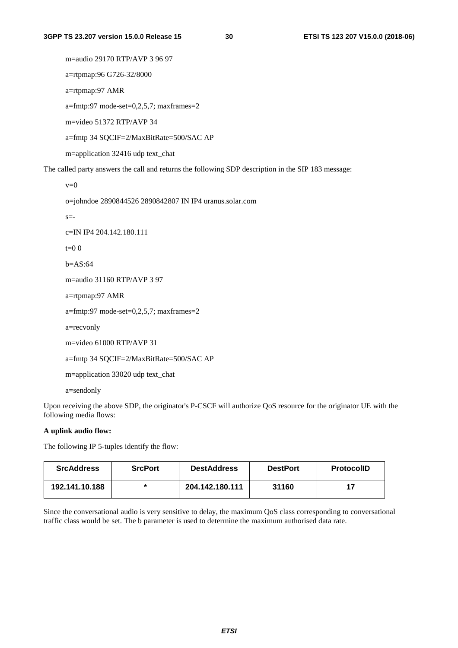m=audio 29170 RTP/AVP 3 96 97

a=rtpmap:96 G726-32/8000

a=rtpmap:97 AMR

a=fmtp:97 mode-set=0,2,5,7; maxframes=2

m=video 51372 RTP/AVP 34

a=fmtp 34 SQCIF=2/MaxBitRate=500/SAC AP

m=application 32416 udp text\_chat

The called party answers the call and returns the following SDP description in the SIP 183 message:

 $v=0$ 

o=johndoe 2890844526 2890842807 IN IP4 uranus.solar.com

 $s=$ 

c=IN IP4 204.142.180.111

t=0 0

 $b = AS:64$ 

m=audio 31160 RTP/AVP 3 97

a=rtpmap:97 AMR

 $a=fmtp:97$  mode-set=0,2,5,7; maxframes=2

a=recvonly

m=video 61000 RTP/AVP 31

a=fmtp 34 SQCIF=2/MaxBitRate=500/SAC AP

m=application 33020 udp text\_chat

a=sendonly

Upon receiving the above SDP, the originator's P-CSCF will authorize QoS resource for the originator UE with the following media flows:

#### **A uplink audio flow:**

The following IP 5-tuples identify the flow:

| <b>SrcAddress</b> | <b>SrcPort</b> | <b>DestAddress</b> | <b>DestPort</b> | <b>ProtocollD</b> |  |
|-------------------|----------------|--------------------|-----------------|-------------------|--|
| 192.141.10.188    |                | 204.142.180.111    | 31160           |                   |  |

Since the conversational audio is very sensitive to delay, the maximum QoS class corresponding to conversational traffic class would be set. The b parameter is used to determine the maximum authorised data rate.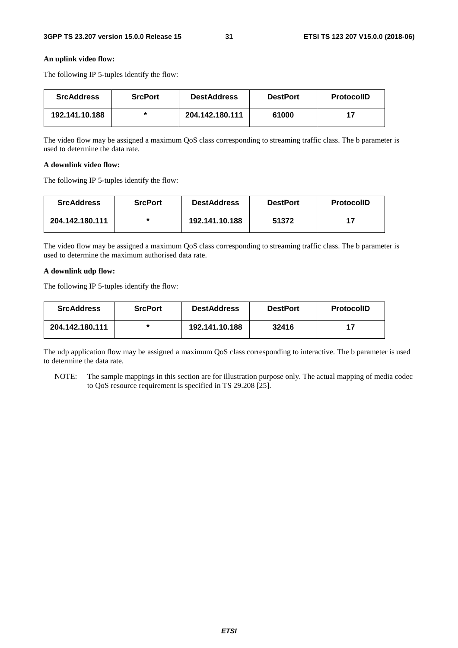#### **An uplink video flow:**

The following IP 5-tuples identify the flow:

| <b>SrcAddress</b> | <b>SrcPort</b> | <b>DestAddress</b> | <b>DestPort</b> | <b>ProtocolID</b> |
|-------------------|----------------|--------------------|-----------------|-------------------|
| 192.141.10.188    | *              | 204.142.180.111    | 61000           | 17                |

The video flow may be assigned a maximum QoS class corresponding to streaming traffic class. The b parameter is used to determine the data rate.

#### **A downlink video flow:**

The following IP 5-tuples identify the flow:

| <b>SrcAddress</b> | <b>SrcPort</b> | <b>DestAddress</b> | <b>DestPort</b> | ProtocollD |
|-------------------|----------------|--------------------|-----------------|------------|
| 204.142.180.111   |                | 192.141.10.188     | 51372           | 17         |

The video flow may be assigned a maximum QoS class corresponding to streaming traffic class. The b parameter is used to determine the maximum authorised data rate.

#### **A downlink udp flow:**

The following IP 5-tuples identify the flow:

| <b>SrcAddress</b> | <b>SrcPort</b><br><b>DestAddress</b> |                | <b>DestPort</b> | <b>ProtocolID</b> |  |
|-------------------|--------------------------------------|----------------|-----------------|-------------------|--|
| 204.142.180.111   |                                      | 192.141.10.188 | 32416           | 17                |  |

The udp application flow may be assigned a maximum QoS class corresponding to interactive. The b parameter is used to determine the data rate.

NOTE: The sample mappings in this section are for illustration purpose only. The actual mapping of media codec to QoS resource requirement is specified in TS 29.208 [25].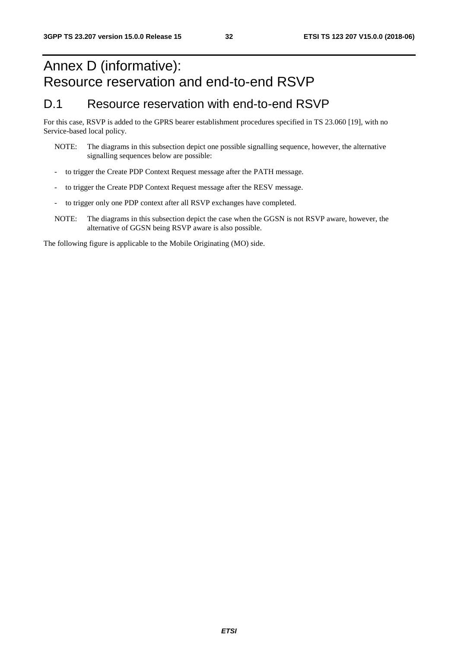# Annex D (informative): Resource reservation and end-to-end RSVP

### D.1 Resource reservation with end-to-end RSVP

For this case, RSVP is added to the GPRS bearer establishment procedures specified in TS 23.060 [19], with no Service-based local policy.

- NOTE: The diagrams in this subsection depict one possible signalling sequence, however, the alternative signalling sequences below are possible:
- to trigger the Create PDP Context Request message after the PATH message.
- to trigger the Create PDP Context Request message after the RESV message.
- to trigger only one PDP context after all RSVP exchanges have completed.
- NOTE: The diagrams in this subsection depict the case when the GGSN is not RSVP aware, however, the alternative of GGSN being RSVP aware is also possible.

The following figure is applicable to the Mobile Originating (MO) side.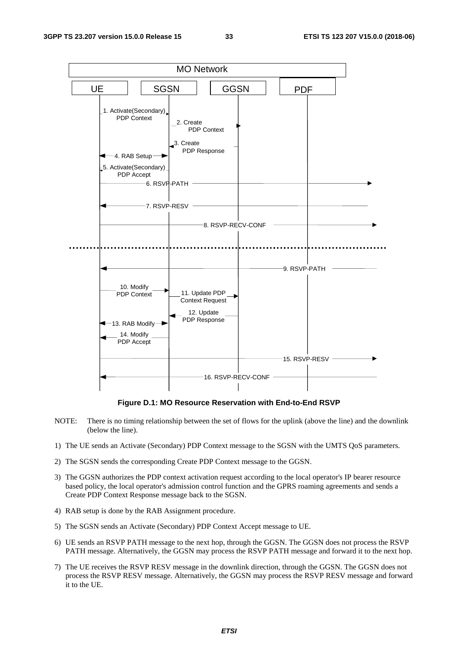

**Figure D.1: MO Resource Reservation with End-to-End RSVP** 

- NOTE: There is no timing relationship between the set of flows for the uplink (above the line) and the downlink (below the line).
- 1) The UE sends an Activate (Secondary) PDP Context message to the SGSN with the UMTS QoS parameters.
- 2) The SGSN sends the corresponding Create PDP Context message to the GGSN.
- 3) The GGSN authorizes the PDP context activation request according to the local operator's IP bearer resource based policy, the local operator's admission control function and the GPRS roaming agreements and sends a Create PDP Context Response message back to the SGSN.
- 4) RAB setup is done by the RAB Assignment procedure.
- 5) The SGSN sends an Activate (Secondary) PDP Context Accept message to UE.
- 6) UE sends an RSVP PATH message to the next hop, through the GGSN. The GGSN does not process the RSVP PATH message. Alternatively, the GGSN may process the RSVP PATH message and forward it to the next hop.
- 7) The UE receives the RSVP RESV message in the downlink direction, through the GGSN. The GGSN does not process the RSVP RESV message. Alternatively, the GGSN may process the RSVP RESV message and forward it to the UE.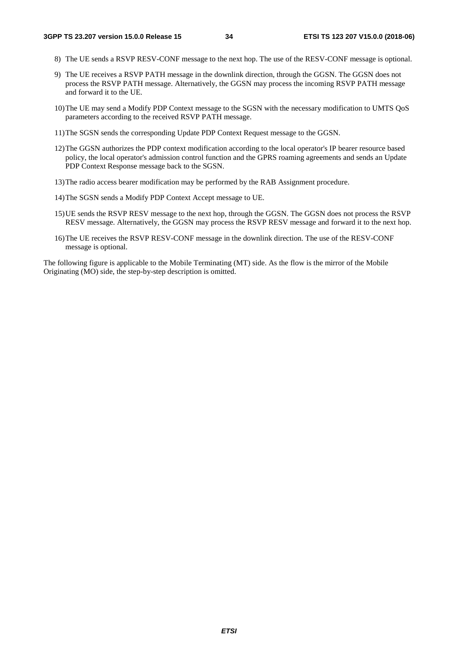- 8) The UE sends a RSVP RESV-CONF message to the next hop. The use of the RESV-CONF message is optional.
- 9) The UE receives a RSVP PATH message in the downlink direction, through the GGSN. The GGSN does not process the RSVP PATH message. Alternatively, the GGSN may process the incoming RSVP PATH message and forward it to the UE.
- 10) The UE may send a Modify PDP Context message to the SGSN with the necessary modification to UMTS QoS parameters according to the received RSVP PATH message.
- 11) The SGSN sends the corresponding Update PDP Context Request message to the GGSN.
- 12) The GGSN authorizes the PDP context modification according to the local operator's IP bearer resource based policy, the local operator's admission control function and the GPRS roaming agreements and sends an Update PDP Context Response message back to the SGSN.
- 13) The radio access bearer modification may be performed by the RAB Assignment procedure.
- 14) The SGSN sends a Modify PDP Context Accept message to UE.
- 15) UE sends the RSVP RESV message to the next hop, through the GGSN. The GGSN does not process the RSVP RESV message. Alternatively, the GGSN may process the RSVP RESV message and forward it to the next hop.
- 16) The UE receives the RSVP RESV-CONF message in the downlink direction. The use of the RESV-CONF message is optional.

The following figure is applicable to the Mobile Terminating (MT) side. As the flow is the mirror of the Mobile Originating (MO) side, the step-by-step description is omitted.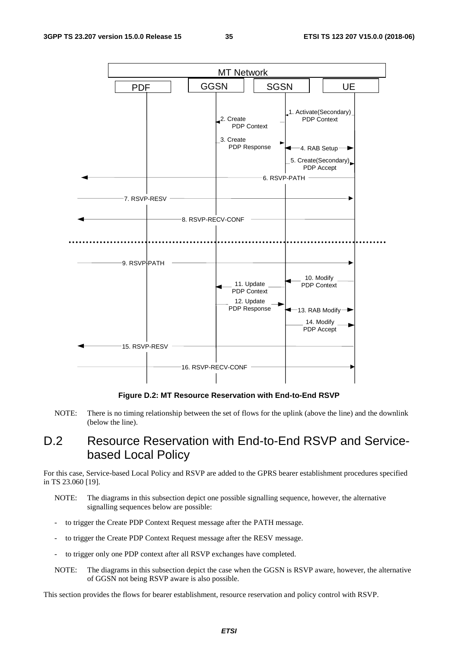

**Figure D.2: MT Resource Reservation with End-to-End RSVP** 

NOTE: There is no timing relationship between the set of flows for the uplink (above the line) and the downlink (below the line).

## D.2 Resource Reservation with End-to-End RSVP and Servicebased Local Policy

For this case, Service-based Local Policy and RSVP are added to the GPRS bearer establishment procedures specified in TS 23.060 [19].

- NOTE: The diagrams in this subsection depict one possible signalling sequence, however, the alternative signalling sequences below are possible:
- to trigger the Create PDP Context Request message after the PATH message.
- to trigger the Create PDP Context Request message after the RESV message.
- to trigger only one PDP context after all RSVP exchanges have completed.
- NOTE: The diagrams in this subsection depict the case when the GGSN is RSVP aware, however, the alternative of GGSN not being RSVP aware is also possible.

This section provides the flows for bearer establishment, resource reservation and policy control with RSVP.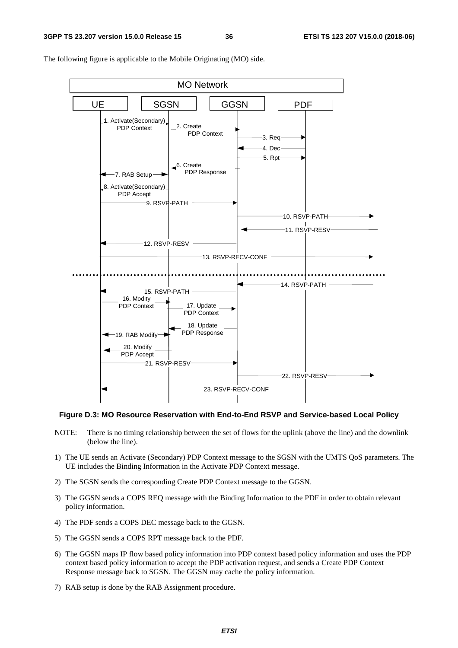

The following figure is applicable to the Mobile Originating (MO) side.

#### **Figure D.3: MO Resource Reservation with End-to-End RSVP and Service-based Local Policy**

- NOTE: There is no timing relationship between the set of flows for the uplink (above the line) and the downlink (below the line).
- 1) The UE sends an Activate (Secondary) PDP Context message to the SGSN with the UMTS QoS parameters. The UE includes the Binding Information in the Activate PDP Context message.
- 2) The SGSN sends the corresponding Create PDP Context message to the GGSN.
- 3) The GGSN sends a COPS REQ message with the Binding Information to the PDF in order to obtain relevant policy information.
- 4) The PDF sends a COPS DEC message back to the GGSN.
- 5) The GGSN sends a COPS RPT message back to the PDF.
- 6) The GGSN maps IP flow based policy information into PDP context based policy information and uses the PDP context based policy information to accept the PDP activation request, and sends a Create PDP Context Response message back to SGSN. The GGSN may cache the policy information.
- 7) RAB setup is done by the RAB Assignment procedure.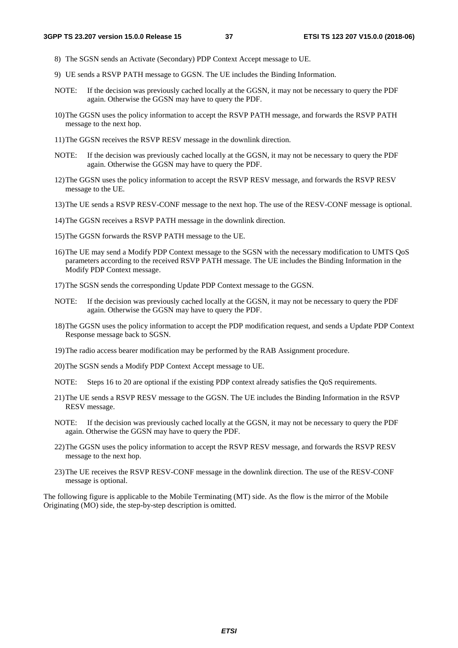- 8) The SGSN sends an Activate (Secondary) PDP Context Accept message to UE.
- 9) UE sends a RSVP PATH message to GGSN. The UE includes the Binding Information.
- NOTE: If the decision was previously cached locally at the GGSN, it may not be necessary to query the PDF again. Otherwise the GGSN may have to query the PDF.
- 10) The GGSN uses the policy information to accept the RSVP PATH message, and forwards the RSVP PATH message to the next hop.
- 11) The GGSN receives the RSVP RESV message in the downlink direction.
- NOTE: If the decision was previously cached locally at the GGSN, it may not be necessary to query the PDF again. Otherwise the GGSN may have to query the PDF.
- 12) The GGSN uses the policy information to accept the RSVP RESV message, and forwards the RSVP RESV message to the UE.
- 13) The UE sends a RSVP RESV-CONF message to the next hop. The use of the RESV-CONF message is optional.
- 14) The GGSN receives a RSVP PATH message in the downlink direction.
- 15) The GGSN forwards the RSVP PATH message to the UE.
- 16) The UE may send a Modify PDP Context message to the SGSN with the necessary modification to UMTS QoS parameters according to the received RSVP PATH message. The UE includes the Binding Information in the Modify PDP Context message.
- 17) The SGSN sends the corresponding Update PDP Context message to the GGSN.
- NOTE: If the decision was previously cached locally at the GGSN, it may not be necessary to query the PDF again. Otherwise the GGSN may have to query the PDF.
- 18) The GGSN uses the policy information to accept the PDP modification request, and sends a Update PDP Context Response message back to SGSN.
- 19) The radio access bearer modification may be performed by the RAB Assignment procedure.
- 20) The SGSN sends a Modify PDP Context Accept message to UE.
- NOTE: Steps 16 to 20 are optional if the existing PDP context already satisfies the QoS requirements.
- 21) The UE sends a RSVP RESV message to the GGSN. The UE includes the Binding Information in the RSVP RESV message.
- NOTE: If the decision was previously cached locally at the GGSN, it may not be necessary to query the PDF again. Otherwise the GGSN may have to query the PDF.
- 22) The GGSN uses the policy information to accept the RSVP RESV message, and forwards the RSVP RESV message to the next hop.
- 23) The UE receives the RSVP RESV-CONF message in the downlink direction. The use of the RESV-CONF message is optional.

The following figure is applicable to the Mobile Terminating (MT) side. As the flow is the mirror of the Mobile Originating (MO) side, the step-by-step description is omitted.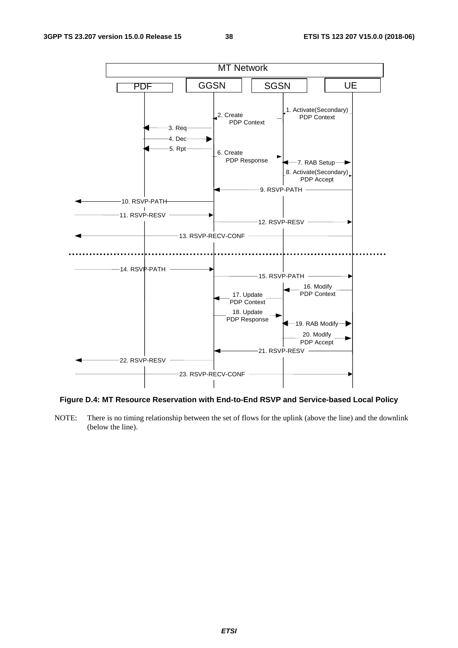

#### **Figure D.4: MT Resource Reservation with End-to-End RSVP and Service-based Local Policy**

NOTE: There is no timing relationship between the set of flows for the uplink (above the line) and the downlink (below the line).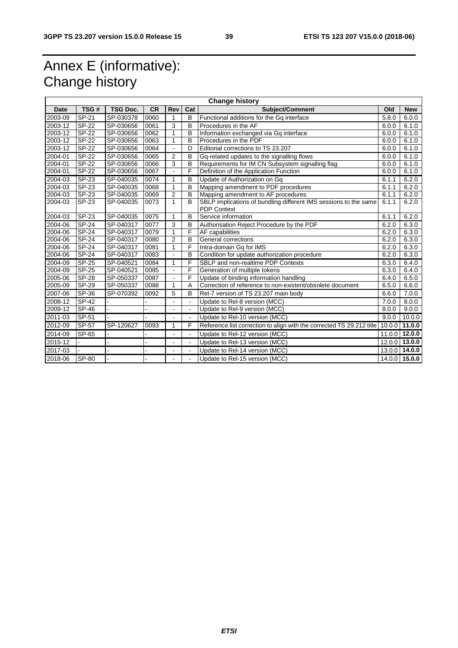# Annex E (informative): Change history

| <b>Change history</b> |              |                 |           |                |     |                                                                                        |        |                 |
|-----------------------|--------------|-----------------|-----------|----------------|-----|----------------------------------------------------------------------------------------|--------|-----------------|
| <b>Date</b>           | TSG#         | <b>TSG Doc.</b> | <b>CR</b> | <b>Rev</b>     | Cat | <b>Subject/Comment</b>                                                                 | Old    | <b>New</b>      |
| 2003-09               | SP-21        | SP-030378       | 0060      | $\mathbf{1}$   | B   | Functional additions for the Gq interface                                              | 5.8.0  | 6.0.0           |
| 2003-12               | <b>SP-22</b> | SP-030656       | 0061      | 3              | B   | Procedures in the AF                                                                   | 6.0.0  | 6.1.0           |
| 2003-12               | <b>SP-22</b> | SP-030656       | 0062      | 1              | B   | Information exchanged via Gq interface                                                 | 6.0.0  | 6.1.0           |
| 2003-12               | <b>SP-22</b> | SP-030656       | 0063      | 1              | B   | Procedures in the PDF                                                                  | 6.0.0  | 6.1.0           |
| 2003-12               | <b>SP-22</b> | SP-030656       | 0064      |                | D   | Editorial corrections to TS 23.207                                                     | 6.0.0  | 6.1.0           |
| 2004-01               | <b>SP-22</b> | SP-030656       | 0065      | 2              | B   | Gq-related updates to the signalling flows                                             | 6.0.0  | 6.1.0           |
| 2004-01               | <b>SP-22</b> | SP-030656       | 0066      | 3              | B   | Requirements for IM CN Subsystem signalling flag                                       | 6.0.0  | 6.1.0           |
| 2004-01               | <b>SP-22</b> | SP-030656       | 0067      |                | F   | Definition of the Application Function                                                 | 6.0.0  | 6.1.0           |
| 2004-03               | SP-23        | SP-040035       | 0074      | $\mathbf{1}$   | B   | Update of Authorization on Gq                                                          | 6.1.1  | 6.2.0           |
| 2004-03               | SP-23        | SP-040035       | 0068      | $\mathbf{1}$   | B   | Mapping amendment to PDF procedures                                                    | 6.1.1  | 6.2.0           |
| 2004-03               | SP-23        | SP-040035       | 0069      | $\overline{2}$ | B   | Mapping amendment to AF procedures                                                     | 6.1.1  | 6.2.0           |
| 2004-03               | SP-23        | SP-040035       | 0073      | 1              | B   | SBLP implications of bundling different IMS sessions to the same<br><b>PDP Context</b> | 6.1.1  | 6.2.0           |
| 2004-03               | <b>SP-23</b> | SP-040035       | 0075      | 1              | B   | Service information                                                                    | 6.1.1  | 6.2.0           |
| 2004-06               | SP-24        | SP-040317       | 0077      | 3              | B   | Authorisation Reject Procedure by the PDF                                              | 6.2.0  | 6.3.0           |
| 2004-06               | <b>SP-24</b> | SP-040317       | 0079      | $\mathbf{1}$   | F   | AF capabilities                                                                        | 6.2.0  | 6.3.0           |
| 2004-06               | <b>SP-24</b> | SP-040317       | 0080      | $\overline{2}$ | B   | General corrections                                                                    | 6.2.0  | 6.3.0           |
| 2004-06               | SP-24        | SP-040317       | 0081      | 1              | F   | Intra-domain Gq for IMS                                                                | 6.2.0  | 6.3.0           |
| 2004-06               | SP-24        | SP-040317       | 0083      |                | B   | Condition for update authorization procedure                                           | 6.2.0  | 6.3.0           |
| 2004-09               | <b>SP-25</b> | SP-040521       | 0084      | 1              | F   | SBLP and non-realtime PDP Contexts                                                     | 6.3.0  | 6.4.0           |
| 2004-09               | SP-25        | SP-040521       | 0085      |                | F   | Generation of multiple tokens                                                          | 6.3.0  | 6.4.0           |
| 2005-06               | <b>SP-28</b> | SP-050337       | 0087      |                | F   | Update of binding information handling                                                 | 6.4.0  | 6.5.0           |
| 2005-09               | SP-29        | SP-050337       | 0088      | 1              | A   | Correction of reference to non-existent/obsolete document                              | 6.5.0  | 6.6.0           |
| 2007-06               | SP-36        | SP-070392       | 0092      | 5              | B   | Rel-7 version of TS 23.207 main body                                                   | 6.6.0  | 7.0.0           |
| 2008-12               | SP-42        |                 |           |                |     | Update to Rel-8 version (MCC)                                                          | 7.0.0  | 8.0.0           |
| 2009-12               | SP-46        | L,              |           |                |     | Update to Rel-9 version (MCC)                                                          | 8.0.0  | 9.0.0           |
| 2011-03               | SP-51        |                 |           |                |     | Update to Rel-10 version (MCC)                                                         | 9.0.0  | 10.0.0          |
| 2012-09               | SP-57        | SP-120627       | 0093      | 1              | F   | Reference list correction to align with the corrected TS 29.212 title                  | 10.0.0 | 11.0.0          |
| 2014-09               | SP-65        |                 |           |                |     | Update to Rel-12 version (MCC)                                                         | 11.0.0 | 12.0.0          |
| 2015-12               |              |                 |           | L,             |     | Update to Rel-13 version (MCC)                                                         |        | $12.0.0$ 13.0.0 |
| 2017-03               |              |                 |           |                |     | Update to Rel-14 version (MCC)                                                         | 13.0.0 | 14.0.0          |
| 2018-06               | SP-80        |                 |           |                |     | Update to Rel-15 version (MCC)                                                         |        | 14.0.0 15.0.0   |